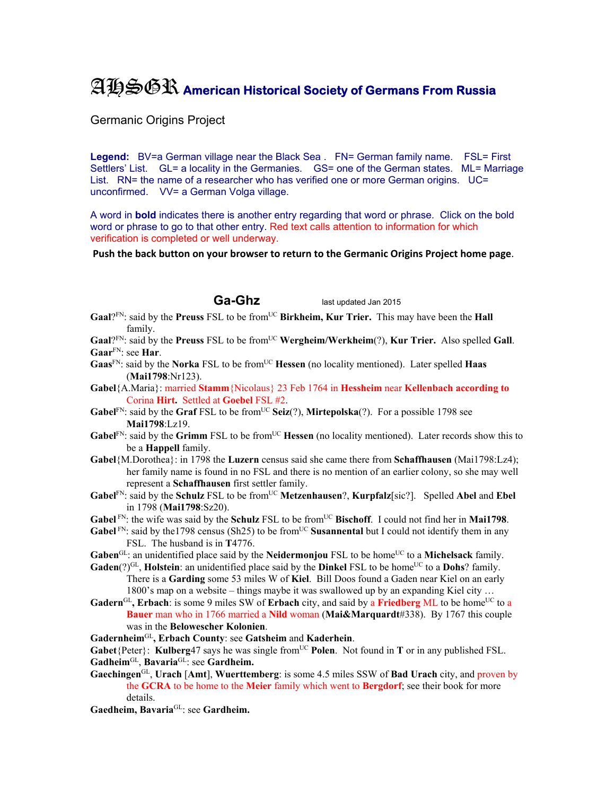## AHSGR **American Historical Society of Germans From Russia**

Germanic Origins Project

Legend: BV=a German village near the Black Sea . FN= German family name. FSL= First Settlers' List. GL= a locality in the Germanies. GS= one of the German states. ML= Marriage List. RN= the name of a researcher who has verified one or more German origins. UC= unconfirmed. VV= a German Volga village.

A word in **bold** indicates there is another entry regarding that word or phrase. Click on the bold word or phrase to go to that other entry. Red text calls attention to information for which verification is completed or well underway.

**Push the back button on your browser to return to the Germanic Origins Project home page**.

**Ga-Ghz** last updated Jan 2015

**Gaal**?FN: said by the **Preuss** FSL to be fromUC **Birkheim, Kur Trier.** This may have been the **Hall** family.

Gaal?<sup>FN</sup>: said by the **Preuss** FSL to be from<sup>UC</sup> Wergheim/Werkheim(?), Kur Trier. Also spelled Gall. **Gaar**FN: see **Har**.

- Gaas<sup>FN</sup>: said by the **Norka** FSL to be from<sup>UC</sup> Hessen (no locality mentioned). Later spelled Haas (**Mai1798**:Nr123).
- **Gabel**{A.Maria}: married **Stamm**{Nicolaus} 23 Feb 1764 in **Hessheim** near **Kellenbach according to**  Corina **Hirt.** Settled at **Goebel** FSL #2.
- **Gabel**<sup>FN</sup>: said by the **Graf** FSL to be from<sup>UC</sup> **Seiz**(?), **Mirtepolska**(?). For a possible 1798 see **Mai1798**:Lz19.
- Gabel<sup>FN</sup>: said by the Grimm FSL to be from<sup>UC</sup> Hessen (no locality mentioned). Later records show this to be a **Happell** family.
- **Gabel**{M.Dorothea}: in 1798 the **Luzern** census said she came there from **Schaffhausen** (Mai1798:Lz4); her family name is found in no FSL and there is no mention of an earlier colony, so she may well represent a **Schaffhausen** first settler family.
- **Gabel**FN: said by the **Schulz** FSL to be fromUC **Metzenhausen**?, **Kurpfalz**[sic?]. Spelled **Abel** and **Ebel** in 1798 (**Mai1798**:Sz20).
- **Gabel** FN: the wife was said by the **Schulz** FSL to be from<sup>UC</sup> **Bischoff**. I could not find her in **Mai1798**.
- **Gabel**  $\text{FN}$ : said by the 1798 census (Sh25) to be from<sup>UC</sup> Susannental but I could not identify them in any FSL. The husband is in **T**4776.
- Gaben<sup>GL</sup>: an unidentified place said by the **Neidermonjou** FSL to be home<sup>UC</sup> to a **Michelsack** family.
- **Gaden**(?)<sup>GL</sup>, **Holstein**: an unidentified place said by the **Dinkel** FSL to be home<sup>UC</sup> to a **Dohs**? family. There is a **Garding** some 53 miles W of **Kiel**. Bill Doos found a Gaden near Kiel on an early 1800's map on a website – things maybe it was swallowed up by an expanding Kiel city …
- **Gadern**<sup>GL</sup>, Erbach: is some 9 miles SW of Erbach city, and said by a Friedberg ML to be home<sup>UC</sup> to a **Bauer** man who in 1766 married a **Nild** woman (**Mai&Marquardt**#338). By 1767 this couple was in the **Belowescher Kolonien**.
- **Gadernheim**GL**, Erbach County**: see **Gatsheim** and **Kaderhein**.

**Gabet**{Peter}: **Kulberg**47 says he was single from<sup>UC</sup> Polen. Not found in **T** or in any published FSL.

- **Gadheim**GL, **Bavaria**GL: see **Gardheim.**
- **Gaechingen**GL, **Urach** [**Amt**], **Wuerttemberg**: is some 4.5 miles SSW of **Bad Urach** city, and proven by the **GCRA** to be home to the **Meier** family which went to **Bergdorf**; see their book for more details.

**Gaedheim, Bavaria**GL: see **Gardheim.**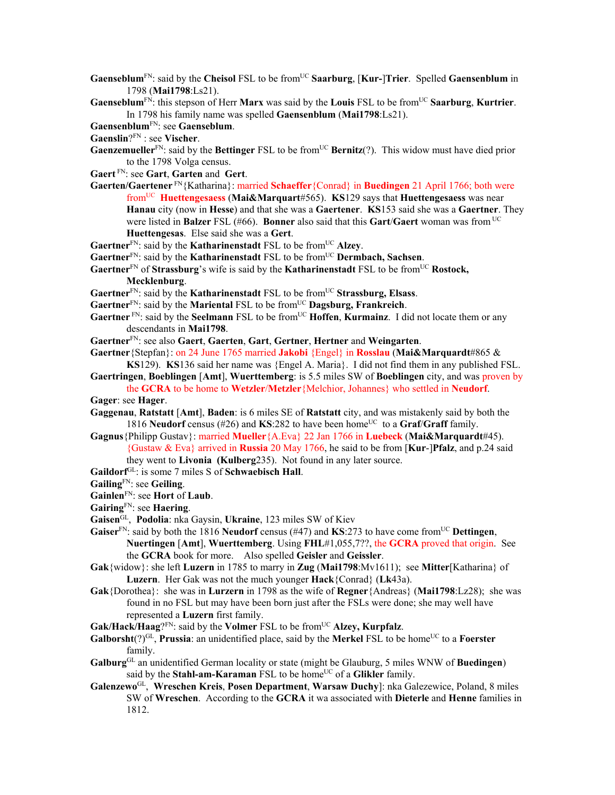- **Gaenseblum**<sup>FN</sup>: said by the **Cheisol** FSL to be from<sup>UC</sup> **Saarburg**, [**Kur-**]Trier. Spelled **Gaensenblum** in 1798 (**Mai1798**:Ls21).
- **Gaenseblum**<sup>FN</sup>: this stepson of Herr **Marx** was said by the **Louis** FSL to be from<sup>UC</sup> **Saarburg**, **Kurtrier**. In 1798 his family name was spelled **Gaensenblum** (**Mai1798**:Ls21).

**Gaensenblum**FN: see **Gaenseblum**.

- **Gaenslin**?FN : see **Vischer**.
- **Gaenzemueller**<sup>FN</sup>: said by the **Bettinger** FSL to be from<sup>UC</sup> **Bernitz**(?). This widow must have died prior to the 1798 Volga census.
- **Gaert** FN: see **Gart**, **Garten** and **Gert**.
- **Gaerten/Gaertener** FN{Katharina}: married **Schaeffer**{Conrad} in **Buedingen** 21 April 1766; both were fromUC **Huettengesaess** (**Mai&Marquart**#565). **KS**129 says that **Huettengesaess** was near **Hanau** city (now in **Hesse**) and that she was a **Gaertener**. **KS**153 said she was a **Gaertner**. They were listed in **Balzer** FSL (#66). **Bonner** also said that this **Gart**/**Gaert** woman was from UC **Huettengesas**. Else said she was a **Gert**.
- **Gaertner**<sup>FN</sup>: said by the **Katharinenstadt** FSL to be from<sup>UC</sup> Alzey.
- Gaertner<sup>FN</sup>: said by the **Katharinenstadt** FSL to be from<sup>UC</sup> **Dermbach**, Sachsen.
- Gaertner<sup>FN</sup> of Strassburg's wife is said by the **Katharinenstadt** FSL to be from<sup>UC</sup> Rostock,

**Mecklenburg**.

- Gaertner<sup>FN</sup>: said by the **Katharinenstadt** FSL to be from<sup>UC</sup> Strassburg, Elsass.
- Gaertner<sup>FN</sup>: said by the **Mariental** FSL to be from<sup>UC</sup> Dagsburg, Frankreich.
- **Gaertner** FN: said by the **Seelmann** FSL to be from<sup>UC</sup> **Hoffen, Kurmainz**. I did not locate them or any descendants in **Mai1798**.
- **Gaertner**FN: see also **Gaert**, **Gaerten**, **Gart**, **Gertner**, **Hertner** and **Weingarten**.
- **Gaertner**{Stepfan}: on 24 June 1765 married **Jakobi** {Engel} in **Rosslau** (**Mai&Marquardt**#865 & **KS**129). **KS**136 said her name was {Engel A. Maria}. I did not find them in any published FSL.
- **Gaertringen**, **Boeblingen** [**Amt**], **Wuerttemberg**: is 5.5 miles SW of **Boeblingen** city, and was proven by the **GCRA** to be home to **Wetzler**/**Metzler**{Melchior, Johannes} who settled in **Neudorf**.
- **Gager**: see **Hager**.
- **Gaggenau**, **Ratstatt** [**Amt**], **Baden**: is 6 miles SE of **Ratstatt** city, and was mistakenly said by both the 1816 **Neudorf** census (#26) and **KS**:282 to have been home<sup>UC</sup> to a **Graf/Graff** family.
- **Gagnus**{Philipp Gustav}: married **Mueller**{A.Eva} 22 Jan 1766 in **Luebeck** (**Mai&Marquardt**#45). {Gustaw & Eva} arrived in **Russia** 20 May 1766, he said to be from [**Kur**-]**Pfalz**, and p.24 said they went to **Livonia (Kulberg**235). Not found in any later source.
- **Gaildorf**GL: is some 7 miles S of **Schwaebisch Hall**.
- **Gailing**FN: see **Geiling**.
- **Gainlen**FN: see **Hort** of **Laub**.
- **Gairing**FN: see **Haering**.
- **Gaisen**GL, **Podolia**: nka Gaysin, **Ukraine**, 123 miles SW of Kiev
- **Gaiser**FN: said by both the 1816 **Neudorf** census (#47) and **KS**:273 to have come fromUC **Dettingen**, **Nuertingen** [**Amt**], **Wuerttemberg**. Using **FHL**#1,055,7??, the **GCRA** proved that origin. See the **GCRA** book for more. Also spelled **Geisler** and **Geissler**.
- **Gak**{widow}: she left **Luzern** in 1785 to marry in **Zug** (**Mai1798**:Mv1611); see **Mitter**[Katharina} of **Luzern**. Her Gak was not the much younger **Hack**{Conrad} (**Lk**43a).
- **Gak**{Dorothea}: she was in **Lurzern** in 1798 as the wife of **Regner**{Andreas} (**Mai1798**:Lz28); she was found in no FSL but may have been born just after the FSLs were done; she may well have represented a **Luzern** first family.
- Gak/Hack/Haag?<sup>FN</sup>: said by the **Volmer** FSL to be from<sup>UC</sup> Alzey, Kurpfalz.
- **Galborsht** $(?)^{GL}$ , **Prussia**: an unidentified place, said by the **Merkel** FSL to be home<sup>UC</sup> to a **Foerster** family.
- **Galburg**GL an unidentified German locality or state (might be Glauburg, 5 miles WNW of **Buedingen**) said by the **Stahl-am-Karaman** FSL to be home<sup>UC</sup> of a Glikler family.
- **Galenzewo**GL, **Wreschen Kreis**, **Posen Department**, **Warsaw Duchy**]: nka Galezewice, Poland, 8 miles SW of **Wreschen**. According to the **GCRA** it wa associated with **Dieterle** and **Henne** families in 1812.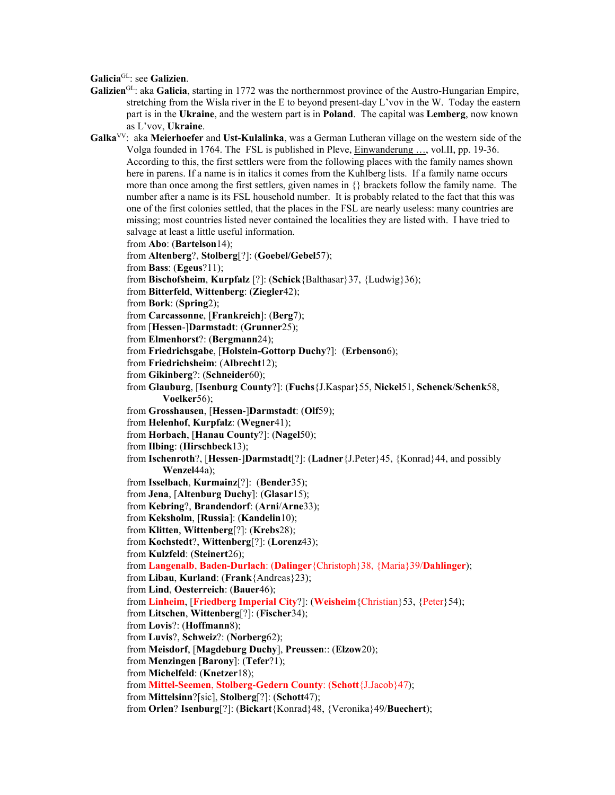**Galicia**GL: see **Galizien**.

**Galizien**GL: aka **Galicia**, starting in 1772 was the northernmost province of the Austro-Hungarian Empire, stretching from the Wisla river in the E to beyond present-day L'vov in the W. Today the eastern part is in the **Ukraine**, and the western part is in **Poland**. The capital was **Lemberg**, now known as L'vov, **Ukraine**.

**Galka**VV: aka **Meierhoefer** and **Ust-Kulalinka**, was a German Lutheran village on the western side of the Volga founded in 1764. The FSL is published in Pleve, Einwanderung …, vol.II, pp. 19-36. According to this, the first settlers were from the following places with the family names shown here in parens. If a name is in italics it comes from the Kuhlberg lists. If a family name occurs more than once among the first settlers, given names in {} brackets follow the family name. The number after a name is its FSL household number. It is probably related to the fact that this was one of the first colonies settled, that the places in the FSL are nearly useless: many countries are missing; most countries listed never contained the localities they are listed with. I have tried to salvage at least a little useful information. from **Abo**: (**Bartelson**14); from **Altenberg**?, **Stolberg**[?]: (**Goebel/Gebel**57); from **Bass**: (**Egeus**?11); from **Bischofsheim**, **Kurpfalz** [?]: (**Schick**{Balthasar}37, {Ludwig}36); from **Bitterfeld**, **Wittenberg**: (**Ziegler**42); from **Bork**: (**Spring**2); from **Carcassonne**, [**Frankreich**]: (**Berg**7); from [**Hessen**-]**Darmstadt**: (**Grunner**25); from **Elmenhorst**?: (**Bergmann**24); from **Friedrichsgabe**, [**Holstein-Gottorp Duchy**?]: (**Erbenson**6); from **Friedrichsheim**: (**Albrecht**12); from **Gikinberg**?: (**Schneider**60); from **Glauburg**, [**Isenburg County**?]: (**Fuchs**{J.Kaspar}55, **Nickel**51, **Schenck**/**Schenk**58, **Voelker**56); from **Grosshausen**, [**Hessen**-]**Darmstadt**: (**Olf**59); from **Helenhof**, **Kurpfalz**: (**Wegner**41); from **Horbach**, [**Hanau County**?]: (**Nagel**50); from **Ilbing**: (**Hirschbeck**13); from **Ischenroth**?, [**Hessen**-]**Darmstadt**[?]: (**Ladner**{J.Peter}45, {Konrad}44, and possibly **Wenzel**44a); from **Isselbach**, **Kurmainz**[?]: (**Bender**35); from **Jena**, [**Altenburg Duchy**]: (**Glasar**15); from **Kebring**?, **Brandendorf**: (**Arni**/**Arne**33); from **Keksholm**, [**Russia**]: (**Kandelin**10); from **Klitten**, **Wittenberg**[?]: (**Krebs**28); from **Kochstedt**?, **Wittenberg**[?]: (**Lorenz**43); from **Kulzfeld**: (**Steinert**26); from **Langenalb**, **Baden-Durlach**: (**Dalinger**{Christoph}38, {Maria}39/**Dahlinger**); from **Libau**, **Kurland**: (**Frank**{Andreas}23); from **Lind**, **Oesterreich**: (**Bauer**46); from **Linheim**, [**Friedberg Imperial City**?]: (**Weisheim**{Christian}53, {Peter}54); from **Litschen**, **Wittenberg**[?]: (**Fischer**34); from **Lovis**?: (**Hoffmann**8); from **Luvis**?, **Schweiz**?: (**Norberg**62); from **Meisdorf**, [**Magdeburg Duchy**], **Preussen**:: (**Elzow**20); from **Menzingen** [**Barony**]: (**Tefer**?1); from **Michelfeld**: (**Knetzer**18); from **Mittel-Seemen**, **Stolberg**-**Gedern County**: (**Schott**{J.Jacob}47); from **Mittelsinn**?[sic], **Stolberg**[?]: (**Schott**47); from **Orlen**? **Isenburg**[?]: (**Bickart**{Konrad}48, {Veronika}49/**Buechert**);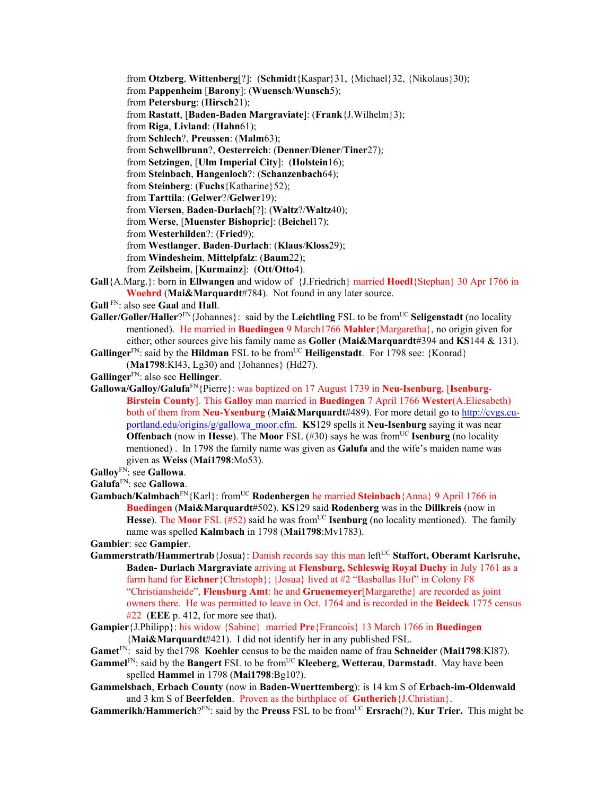from **Otzberg**, **Wittenberg**[?]: (**Schmidt**{Kaspar}31, {Michael}32, {Nikolaus}30); from **Pappenheim** [**Barony**]: (**Wuensch**/**Wunsch**5); from **Petersburg**: (**Hirsch**21); from **Rastatt**, [**Baden-Baden Margraviate**]: (**Frank**{J.Wilhelm}3); from **Riga**, **Livland**: (**Hahn**61); from **Schlech**?, **Preussen**: (**Malm**63); from **Schwellbrunn**?, **Oesterreich**: (**Denner**/**Diener**/**Tiner**27); from **Setzingen**, [**Ulm Imperial City**]: (**Holstein**16); from **Steinbach**, **Hangenloch**?: (**Schanzenbach**64); from **Steinberg**: (**Fuchs**{Katharine}52); from **Tarttila**: (**Gelwer**?/**Gelwer**19); from **Viersen**, **Baden**-**Durlach**[?]: (**Waltz**?/**Waltz**40); from **Werse**, [**Muenster Bishopric**]: (**Beichel**17); from **Westerhilden**?: (**Fried**9); from **Westlanger**, **Baden**-**Durlach**: (**Klaus**/**Kloss**29); from **Windesheim**, **Mittelpfalz**: (**Baum**22); from **Zeilsheim**, [**Kurmainz**]: (**Ott**/**Otto**4). **Gall**{A.Marg.}: born in **Ellwangen** and widow of {J.Friedrich} married **Hoedl**{Stephan} 30 Apr 1766 in

- **Woehrd** (**Mai&Marquardt**#784). Not found in any later source.
- **Gall** FN: also see **Gaal** and **Hall**.
- **Galler/Goller/Haller**?<sup>FN</sup>{Johannes}: said by the **Leichtling** FSL to be from<sup>UC</sup> **Seligenstadt** (no locality mentioned). He married in **Buedingen** 9 March1766 **Mahler**{Margaretha}, no origin given for either; other sources give his family name as **Goller** (**Mai&Marquardt**#394 and **KS**144 & 131).
- **Gallinger**<sup>FN</sup>: said by the **Hildman** FSL to be from<sup>UC</sup> **Heiligenstadt**. For 1798 see: {Konrad} (**Ma1798**:Kl43, Lg30) and {Johannes} (Hd27).
- **Gallinger**FN: also see **Hellinger**.
- **Gallowa/Galloy/Galufa**FN{Pierre}: was baptized on 17 August 1739 in **Neu-Isenburg**, [**Isenburg**-**Birstein County**]. This **Galloy** man married in **Buedingen** 7 April 1766 **Wester**(A.Eliesabeth) both of them from **Neu-Ysenburg** (**Mai&Marquardt**#489). For more detail go to http://cvgs.cuportland.edu/origins/g/gallowa\_moor.cfm. **KS**129 spells it **Neu-Isenburg** saying it was near **Offenbach** (now in **Hesse**). The **Moor** FSL (#30) says he was from<sup>UC</sup> **Isenburg** (no locality mentioned) . In 1798 the family name was given as **Galufa** and the wife's maiden name was given as **Weiss** (**Mai1798**:Mo53).
- **Galloy**FN: see **Gallowa**.
- **Galufa**FN: see **Gallowa**.
- **Gambach/Kalmbach**<sup>FN</sup>{Karl}: from<sup>UC</sup> **Rodenbergen** he married **Steinbach**{Anna} 9 April 1766 in **Buedingen** (**Mai&Marquardt**#502). **KS**129 said **Rodenberg** was in the **Dillkreis** (now in **Hesse**). The **Moor** FSL (#52) said he was from<sup>UC</sup> **Isenburg** (no locality mentioned). The family name was spelled **Kalmbach** in 1798 (**Mai1798**:Mv1783).

**Gambier**: see **Gampier**.

- Gammerstrath/Hammertrab<sup>{J</sup>Osua}: Danish records say this man left<sup>UC</sup> Staffort, Oberamt Karlsruhe, **Baden- Durlach Margraviate** arriving at **Flensburg, Schleswig Royal Duchy** in July 1761 as a farm hand for **Eichner**{Christoph}; {Josua} lived at #2 "Basballas Hof" in Colony F8 "Christiansheide", **Flensburg Amt**: he and **Gruenemeyer**[Margarethe} are recorded as joint owners there. He was permitted to leave in Oct. 1764 and is recorded in the **Beideck** 1775 census #22 (**EEE** p. 412, for more see that).
- **Gampier**{J.Philipp}: his widow {Sabine} married **Pre**{Francois} 13 March 1766 in **Buedingen** {**Mai&Marquardt**#421). I did not identify her in any published FSL.

## **Gamet**FN: said by the1798 **Koehler** census to be the maiden name of frau **Schneider** (**Mai1798**:Kl87).

- **Gammel**FN: said by the **Bangert** FSL to be fromUC **Kleeberg**, **Wetterau**, **Darmstadt**. May have been spelled **Hammel** in 1798 (**Mai1798**:Bg10?).
- **Gammelsbach**, **Erbach County** (now in **Baden-Wuerttemberg**): is 14 km S of **Erbach-im-Oldenwald** and 3 km S of **Beerfelden**. Proven as the birthplace of **Gutherich**{J.Christian}.

**Gammerikh/Hammerich**?FN: said by the **Preuss** FSL to be from<sup>UC</sup> **Ersrach**(?), **Kur Trier.** This might be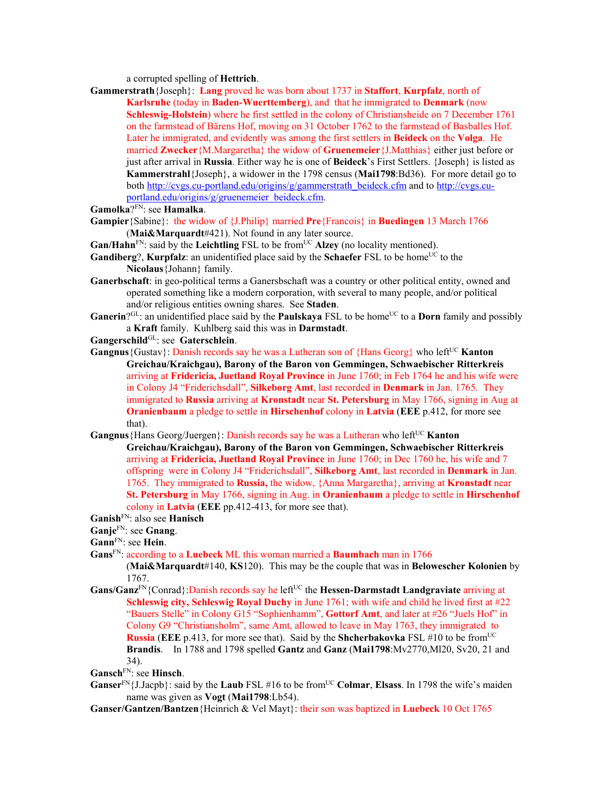a corrupted spelling of **Hettrich**.

- **Gammerstrath**{Joseph}: **Lang** proved he was born about 1737 in **Staffort**, **Kurpfalz**, north of **Karlsruhe** (today in **Baden-Wuerttemberg**), and that he immigrated to **Denmark** (now **Schleswig-Holstein**) where he first settled in the colony of Christiansheide on 7 December 1761 on the farmstead of Bärens Hof, moving on 31 October 1762 to the farmstead of Basballes Hof. Later he immigrated, and evidently was among the first settlers in **Beideck** on the **Volga**. He married **Zwecker**{M.Margaretha} the widow of **Gruenemeier**{J.Matthias} either just before or just after arrival in **Russia**. Either way he is one of **Beideck**'s First Settlers. {Joseph} is listed as **Kammerstrahl**{Joseph}, a widower in the 1798 census (**Mai1798**:Bd36). For more detail go to both http://cvgs.cu-portland.edu/origins/g/gammerstrath\_beideck.cfm and to http://cvgs.cuportland.edu/origins/g/gruenemeier\_beideck.cfm.
- **Gamolka**?FN: see **Hamalka**.
- **Gampier**{Sabine}: the widow of {J.Philip} married **Pre**{Francois} in **Buedingen** 13 March 1766 (**Mai&Marquardt**#421). Not found in any later source.
- $\mathbf{Gan}/\mathbf{Hahn}^{\text{FN}}$ : said by the **Leichtling** FSL to be from<sup>UC</sup> **Alzey** (no locality mentioned).
- **Gandiberg**?, **Kurpfalz**: an unidentified place said by the **Schaefer** FSL to be home<sup>UC</sup> to the **Nicolaus**{Johann} family.
- **Ganerbschaft**: in geo-political terms a Ganersbschaft was a country or other political entity, owned and operated something like a modern corporation, with several to many people, and/or political and/or religious entities owning shares. See **Staden**.
- **Ganerin**?<sup>GL</sup>: an unidentified place said by the **Paulskaya** FSL to be home<sup>UC</sup> to a **Dorn** family and possibly a **Kraft** family. Kuhlberg said this was in **Darmstadt**.
- **Gangerschild**GL: see **Gaterschlein**.
- **Gangnus** {Gustav}: Danish records say he was a Lutheran son of {Hans Georg} who left<sup>UC</sup> **Kanton Greichau/Kraichgau), Barony of the Baron von Gemmingen, Schwaebischer Ritterkreis** arriving at **Fridericia, Juetland Royal Province** in June 1760; in Feb 1764 he and his wife were in Colony J4 "Friderichsdall", **Silkeborg Amt**, last recorded in **Denmark** in Jan. 1765. They immigrated to **Russia** arriving at **Kronstadt** near **St. Petersburg** in May 1766, signing in Aug at **Oranienbaum** a pledge to settle in **Hirschenhof** colony in **Latvia** (**EEE** p.412, for more see that).
- Gangnus {Hans Georg/Juergen}: Danish records say he was a Lutheran who left<sup>UC</sup> **Kanton Greichau/Kraichgau), Barony of the Baron von Gemmingen, Schwaebischer Ritterkreis** arriving at **Fridericia, Juetland Royal Province** in June 1760; in Dec 1760 he, his wife and 7 offspring were in Colony J4 "Friderichsdall", **Silkeborg Amt**, last recorded in **Denmark** in Jan. 1765. They immigrated to **Russia,** the widow, {Anna Margaretha}, arriving at **Kronstadt** near **St. Petersburg** in May 1766, signing in Aug. in **Oranienbaum** a pledge to settle in **Hirschenhof**  colony in **Latvia** (**EEE** pp.412-413, for more see that).

- **Ganje**FN: see **Gnang**.
- **Gann**FN: see **Hein**.
- **Gans**FN: according to a **Luebeck** ML this woman married a **Baumbach** man in 1766
	- (**Mai&Marquardt**#140, **KS**120). This may be the couple that was in **Belowescher Kolonien** by 1767.
- Gans/Ganz<sup>FN</sup>{Conrad}:Danish records say he left<sup>UC</sup> the **Hessen-Darmstadt Landgraviate** arriving at **Schleswig city, Schleswig Royal Duchy** in June 1761; with wife and child he lived first at #22 "Bauers Stelle" in Colony G15 "Sophienhamm", **Gottorf Amt**, and later at #26 "Juels Hof" in Colony G9 "Christiansholm", same Amt, allowed to leave in May 1763, they immigrated to **Russia** (**EEE** p.413, for more see that). Said by the **Shcherbakovka** FSL  $\#10$  to be from<sup>UC</sup> **Brandis**. In 1788 and 1798 spelled **Gantz** and **Ganz** (**Mai1798**:Mv2770,Ml20, Sv20, 21 and 34).

**Gansch**FN: see **Hinsch**.

- **Ganser**<sup>FN</sup>{J.Jacpb}: said by the **Laub** FSL #16 to be from<sup>UC</sup> **Colmar**, **Elsass**. In 1798 the wife's maiden name was given as **Vogt** (**Mai1798**:Lb54).
- **Ganser/Gantzen/Bantzen**{Heinrich & Vel Mayt}: their son was baptized in **Luebeck** 10 Oct 1765

**Ganish**FN: also see **Hanisch**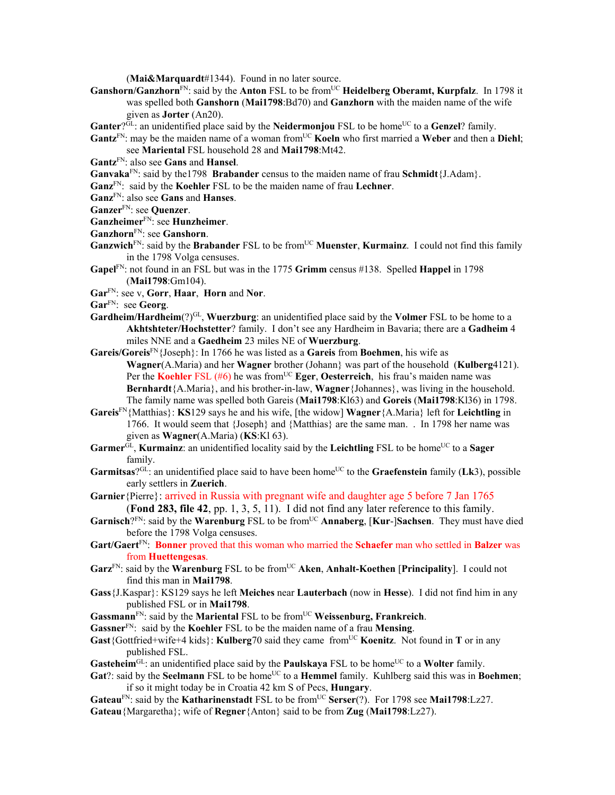(**Mai&Marquardt**#1344). Found in no later source.

- Ganshorn/Ganzhorn<sup>FN</sup>: said by the Anton FSL to be from<sup>UC</sup> Heidelberg Oberamt, Kurpfalz. In 1798 it was spelled both **Ganshorn** (**Mai1798**:Bd70) and **Ganzhorn** with the maiden name of the wife given as **Jorter** (An20).
- Ganter<sup>?GL</sup>: an unidentified place said by the **Neidermonjou** FSL to be home<sup>UC</sup> to a Genzel? family.
- Gantz<sup>FN</sup>: may be the maiden name of a woman from<sup>UC</sup> Koeln who first married a Weber and then a Diehl; see **Mariental** FSL household 28 and **Mai1798**:Mt42.

**Gantz**FN: also see **Gans** and **Hansel**.

**Ganvaka**FN: said by the1798 **Brabander** census to the maiden name of frau **Schmidt**{J.Adam}.

**Ganz**FN: said by the **Koehler** FSL to be the maiden name of frau **Lechner**.

**Ganz**FN: also see **Gans** and **Hanses**.

**Ganzer**FN: see **Quenzer**.

**Ganzheimer**FN: see **Hunzheimer**.

**Ganzhorn**FN: see **Ganshorn**.

- **Ganzwich**<sup>FN</sup>: said by the **Brabander** FSL to be from<sup>UC</sup> **Muenster**, **Kurmainz**. I could not find this family in the 1798 Volga censuses.
- **Gapel**FN: not found in an FSL but was in the 1775 **Grimm** census #138. Spelled **Happel** in 1798 (**Mai1798**:Gm104).
- **Gar**FN: see v, **Gorr**, **Haar**, **Horn** and **Nor**.

**Gar**FN: see **Georg**.

- **Gardheim/Hardheim**(?)GL, **Wuerzburg**: an unidentified place said by the **Volmer** FSL to be home to a **Akhtshteter/Hochstetter**? family. I don't see any Hardheim in Bavaria; there are a **Gadheim** 4 miles NNE and a **Gaedheim** 23 miles NE of **Wuerzburg**.
- **Gareis/Goreis**FN{Joseph}: In 1766 he was listed as a **Gareis** from **Boehmen**, his wife as **Wagner**(A.Maria) and her **Wagner** brother (Johann} was part of the household (**Kulberg**4121). Per the **Koehler** FSL (#6) he was from<sup>UC</sup> **Eger**, **Oesterreich**, his frau's maiden name was **Bernhardt**{A.Maria}, and his brother-in-law, **Wagner**{Johannes}, was living in the household. The family name was spelled both Gareis (**Mai1798**:Kl63) and **Goreis** (**Mai1798**:Kl36) in 1798.
- **Gareis**FN{Matthias}: **KS**129 says he and his wife, [the widow] **Wagner**{A.Maria} left for **Leichtling** in 1766. It would seem that {Joseph} and {Matthias} are the same man. . In 1798 her name was given as **Wagner**(A.Maria) (**KS**:Kl 63).
- **Garmer**<sup>GL</sup>, **Kurmainz**: an unidentified locality said by the **Leichtling** FSL to be home<sup>UC</sup> to a **Sager** family.
- Garmitsas?<sup>GL</sup>: an unidentified place said to have been home<sup>UC</sup> to the Graefenstein family (Lk3), possible early settlers in **Zuerich**.

**Garnier**{Pierre}: arrived in Russia with pregnant wife and daughter age 5 before 7 Jan 1765

(**Fond 283, file 42**, pp. 1, 3, 5, 11). I did not find any later reference to this family. Garnisch?<sup>FN</sup>: said by the **Warenburg** FSL to be from<sup>UC</sup> Annaberg, [Kur-]Sachsen. They must have died before the 1798 Volga censuses.

**Gart/Gaert**FN: **Bonner** proved that this woman who married the **Schaefer** man who settled in **Balzer** was from **Huettengesas**.

- Garz<sup>FN</sup>: said by the Warenburg FSL to be from<sup>UC</sup> Aken, Anhalt-Koethen [Principality]. I could not find this man in **Mai1798**.
- **Gass**{J.Kaspar}: KS129 says he left **Meiches** near **Lauterbach** (now in **Hesse**). I did not find him in any published FSL or in **Mai1798**.
- Gassmann<sup>FN</sup>: said by the Mariental FSL to be from<sup>UC</sup> Weissenburg, Frankreich.
- **Gassner**FN: said by the **Koehler** FSL to be the maiden name of a frau **Mensing**.
- **Gast**{Gottfried+wife+4 kids}: **Kulberg**70 said they came from<sup>UC</sup> **Koenitz**. Not found in **T** or in any published FSL.

**Gasteheim**<sup>GL</sup>: an unidentified place said by the **Paulskaya** FSL to be home<sup>UC</sup> to a **Wolter** family.

**Gat**?: said by the **Seelmann** FSL to be home<sup>UC</sup> to a **Hemmel** family. Kuhlberg said this was in **Boehmen**; if so it might today be in Croatia 42 km S of Pecs, **Hungary**.

Gateau<sup>FN</sup>: said by the **Katharinenstadt** FSL to be from<sup>UC</sup> Serser(?). For 1798 see Mai1798:Lz27. **Gateau**{Margaretha}; wife of **Regner**{Anton} said to be from **Zug** (**Mai1798**:Lz27).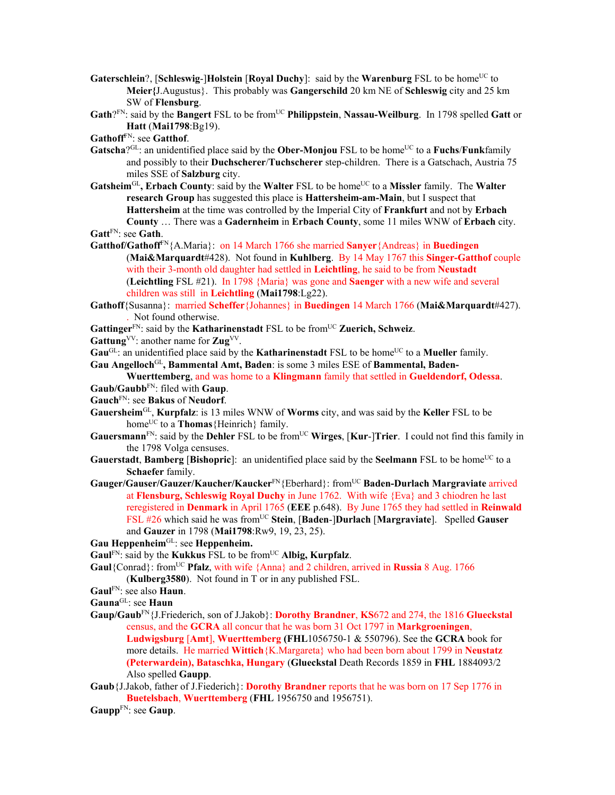- **Gaterschlein**?, [**Schleswig-**]**Holstein** [**Royal Duchy**]: said by the **Warenburg** FSL to be home<sup>UC</sup> to **Meier{**J.Augustus}. This probably was **Gangerschild** 20 km NE of **Schleswig** city and 25 km SW of **Flensburg**.
- **Gath**?FN: said by the **Bangert** FSL to be fromUC **Philippstein**, **Nassau-Weilburg**. In 1798 spelled **Gatt** or **Hatt** (**Mai1798**:Bg19).

**Gathoff**FN: see **Gatthof**.

- **Gatscha**?<sup>GL</sup>: an unidentified place said by the **Ober-Monjou** FSL to be home<sup>UC</sup> to a **Fuchs**/**Funk**family and possibly to their **Duchscherer**/**Tuchscherer** step-children. There is a Gatschach, Austria 75 miles SSE of **Salzburg** city.
- **Gatsheim**<sup>GL</sup>, Erbach County: said by the Walter FSL to be home<sup>UC</sup> to a Missler family. The Walter **research Group** has suggested this place is **Hattersheim-am-Main**, but I suspect that **Hattersheim** at the time was controlled by the Imperial City of **Frankfurt** and not by **Erbach County** … There was a **Gadernheim** in **Erbach County**, some 11 miles WNW of **Erbach** city. **Gatt**FN: see **Gath**.
- 
- **Gatthof/Gathoff**FN{A.Maria}: on 14 March 1766 she married **Sanyer**{Andreas} in **Buedingen**  (**Mai&Marquardt**#428). Not found in **Kuhlberg**. By 14 May 1767 this **Singer-Gatthof** couple with their 3-month old daughter had settled in **Leichtling**, he said to be from **Neustadt**  (**Leichtling** FSL #21). In 1798 {Maria} was gone and **Saenger** with a new wife and several children was still in **Leichtling** (**Mai1798**:Lg22).
- **Gathoff**{Susanna}: married **Scheffer**{Johannes} in **Buedingen** 14 March 1766 (**Mai&Marquardt**#427). . Not found otherwise.
- Gattinger<sup>FN</sup>: said by the **Katharinenstadt** FSL to be from<sup>UC</sup> Zuerich, Schweiz.

Gattung<sup>VV</sup>: another name for **Zug**<sup>VV</sup>.

Gau<sup>GL</sup>: an unidentified place said by the **Katharinenstadt** FSL to be home<sup>UC</sup> to a **Mueller** family.

**Gau Angelloch**GL**, Bammental Amt, Baden**: is some 3 miles ESE of **Bammental, Baden-**

- **Wuerttemberg**, and was home to a **Klingmann** family that settled in **Gueldendorf, Odessa**. **Gaub/Gaubb**FN: filed with **Gaup**.
- **Gauch**FN: see **Bakus** of **Neudorf**.
- **Gauersheim**GL, **Kurpfalz**: is 13 miles WNW of **Worms** city, and was said by the **Keller** FSL to be home<sup>UC</sup> to a **Thomas** {Heinrich} family.
- **Gauersmann**<sup>FN</sup>: said by the **Dehler** FSL to be from<sup>UC</sup> **Wirges**, [**Kur-**]Trier. I could not find this family in the 1798 Volga censuses.
- **Gauerstadt, Bamberg [Bishopric**]: an unidentified place said by the **Seelmann** FSL to be home<sup>UC</sup> to a **Schaefer** family.
- **Gauger/Gauser/Gauzer/Kaucher/Kaucker**FN{Eberhard}: fromUC **Baden-Durlach Margraviate** arrived at **Flensburg, Schleswig Royal Duchy** in June 1762. With wife {Eva} and 3 chiodren he last reregistered in **Denmark** in April 1765 (**EEE** p.648). By June 1765 they had settled in **Reinwald** FSL #26 which said he was fromUC **Stein**, [**Baden**-]**Durlach** [**Margraviate**]. Spelled **Gauser** and **Gauzer** in 1798 (**Mai1798**:Rw9, 19, 23, 25).
- **Gau Heppenheim**GL: see **Heppenheim.**
- **Gaul**FN: said by the **Kukkus** FSL to be fromUC **Albig, Kurpfalz**.
- **Gaul**{Conrad}: from<sup>UC</sup> **Pfalz**, with wife {Anna} and 2 children, arrived in **Russia** 8 Aug. 1766 (**Kulberg3580**). Not found in T or in any published FSL.
- **Gaul**FN: see also **Haun**.

**Gauna**GL: see **Haun** 

- **Gaup/Gaub**FN{J.Friederich, son of J.Jakob}: **Dorothy Brandner**, **KS**672 and 274, the 1816 **Glueckstal**  census, and the **GCRA** all concur that he was born 31 Oct 1797 in **Markgroeningen**, **Ludwigsburg** [**Amt**], **Wuerttemberg (FHL**1056750-1 & 550796). See the **GCRA** book for more details. He married **Wittich**{K.Margareta} who had been born about 1799 in **Neustatz (Peterwardein), Bataschka, Hungary** (**Glueckstal** Death Records 1859 in **FHL** 1884093/2 Also spelled **Gaupp**.
- **Gaub**{J.Jakob, father of J.Fiederich}: **Dorothy Brandner** reports that he was born on 17 Sep 1776 in **Buetelsbach**, **Wuerttemberg** (**FHL** 1956750 and 1956751).
- **Gaupp**FN: see **Gaup**.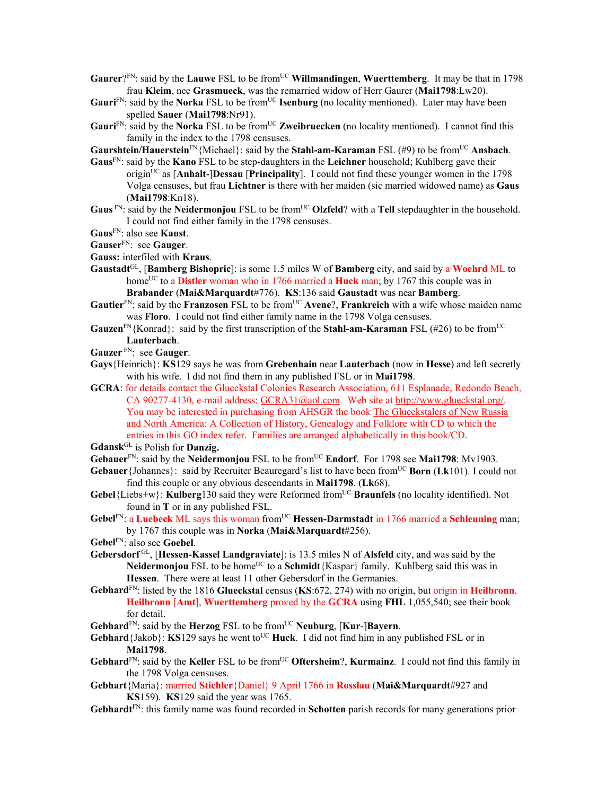- **Gaurer**?FN: said by the **Lauwe** FSL to be from<sup>UC</sup> **Willmandingen**, **Wuerttemberg**. It may be that in 1798 frau **Kleim**, nee **Grasmueck**, was the remarried widow of Herr Gaurer (**Mai1798**:Lw20).
- Gauri<sup>FN</sup>: said by the **Norka** FSL to be from<sup>UC</sup> **Isenburg** (no locality mentioned). Later may have been spelled **Sauer** (**Mai1798**:Nr91).
- Gauri<sup>FN</sup>: said by the **Norka** FSL to be from<sup>UC</sup> **Zweibruecken** (no locality mentioned). I cannot find this family in the index to the 1798 censuses.

**Gaurshtein/Hauerstein**<sup>FN</sup>{Michael}: said by the **Stahl-am-Karaman** FSL (#9) to be from<sup>UC</sup> Ansbach.

- **Gaus**FN: said by the **Kano** FSL to be step-daughters in the **Leichner** household; Kuhlberg gave their origin<sup>UC</sup> as  $[Anhalt-]Dessau$   $[Principality]$ . I could not find these younger women in the 1798 Volga censuses, but frau **Lichtner** is there with her maiden (sic married widowed name) as **Gaus** (**Mai1798**:Kn18).
- Gaus<sup>FN</sup>: said by the **Neidermonjou** FSL to be from<sup>UC</sup> **Olzfeld**? with a **Tell** stepdaughter in the household. I could not find either family in the 1798 censuses.
- **Gaus**FN: also see **Kaust**.
- **Gauser**FN: see **Gauger**.
- **Gauss:** interfiled with **Kraus**.
- **Gaustadt**GL, [**Bamberg Bishopric**]: is some 1.5 miles W of **Bamberg** city, and said by a **Woehrd** ML to home<sup>UC</sup> to a **Distler** woman who in 1766 married a **Huck** man; by 1767 this couple was in **Brabander** (**Mai&Marquardt**#776). **KS**:136 said **Gaustadt** was near **Bamberg**.
- **Gautier**<sup>FN</sup>: said by the **Franzosen** FSL to be from<sup>UC</sup> **Avene**?, **Frankreich** with a wife whose maiden name was **Floro**. I could not find either family name in the 1798 Volga censuses.
- **Gauzen**<sup>FN</sup>{Konrad}: said by the first transcription of the **Stahl-am-Karaman** FSL (#26) to be from<sup>UC</sup> **Lauterbach**.
- **Gauzer** FN: see **Gauger**.
- **Gays**{Heinrich}: **KS**129 says he was from **Grebenhain** near **Lauterbach** (now in **Hesse**) and left secretly with his wife. I did not find them in any published FSL or in **Mai1798**.
- **GCRA**: for details contact the Glueckstal Colonies Research Association, 611 Esplanade, Redondo Beach, CA 90277-4130, e-mail address: GCRA31@aol.com. Web site at http://www.glueckstal.org/. You may be interested in purchasing from AHSGR the book The Glueckstalers of New Russia and North America: A Collection of History, Genealogy and Folklore with CD to which the entries in this GO index refer. Families are arranged alphabetically in this book/CD.

**Gdansk**GL is Polish for **Danzig.**

- Gebauer<sup>FN</sup>: said by the **Neidermonjou** FSL to be from<sup>UC</sup> **Endorf**. For 1798 see Mai1798: Mv1903.
- **Gebauer** {Johannes}: said by Recruiter Beauregard's list to have been from<sup>UC</sup> **Born** (Lk101). I could not find this couple or any obvious descendants in **Mai1798**. (**Lk**68).
- **Gebel**{Liebs+w}: **Kulberg**130 said they were Reformed from<sup>UC</sup> **Braunfels** (no locality identified). Not found in **T** or in any published FSL.
- **Gebel<sup>FN</sup>: a Luebeck** ML says this woman from<sup>UC</sup> **Hessen-Darmstadt** in 1766 married a **Schleuning** man; by 1767 this couple was in **Norka** (**Mai&Marquardt**#256).
- **Gebel**FN: also see **Goebel**.
- **Gebersdorf** GL, [**Hessen-Kassel Landgraviate**]: is 13.5 miles N of **Alsfeld** city, and was said by the **Neidermonjou** FSL to be home<sup>UC</sup> to a **Schmidt**{Kaspar} family. Kuhlberg said this was in **Hessen**. There were at least 11 other Gebersdorf in the Germanies.
- **Gebhard**FN: listed by the 1816 **Glueckstal** census (**KS**:672, 274) with no origin, but origin in **Heilbronn**, **Heilbronn** [**Amt**], **Wuerttemberg** proved by the **GCRA** using **FHL** 1,055,540; see their book for detail.
- **Gebhard**<sup>FN</sup>: said by the **Herzog** FSL to be from<sup>UC</sup> **Neuburg**, [**Kur-**]Bayern.
- **Gebhard** {Jakob}: **KS**129 says he went to<sup>UC</sup> **Huck**. I did not find him in any published FSL or in **Mai1798**.
- Gebhard<sup>FN</sup>: said by the Keller FSL to be from<sup>UC</sup> Oftersheim?, Kurmainz. I could not find this family in the 1798 Volga censuses.
- **Gebhart**{Maria}: married **Stichler**{Daniel} 9 April 1766 in **Rosslau** (**Mai&Marquardt**#927 and **KS**159). **KS**129 said the year was 1765.
- **Gebhardt**FN: this family name was found recorded in **Schotten** parish records for many generations prior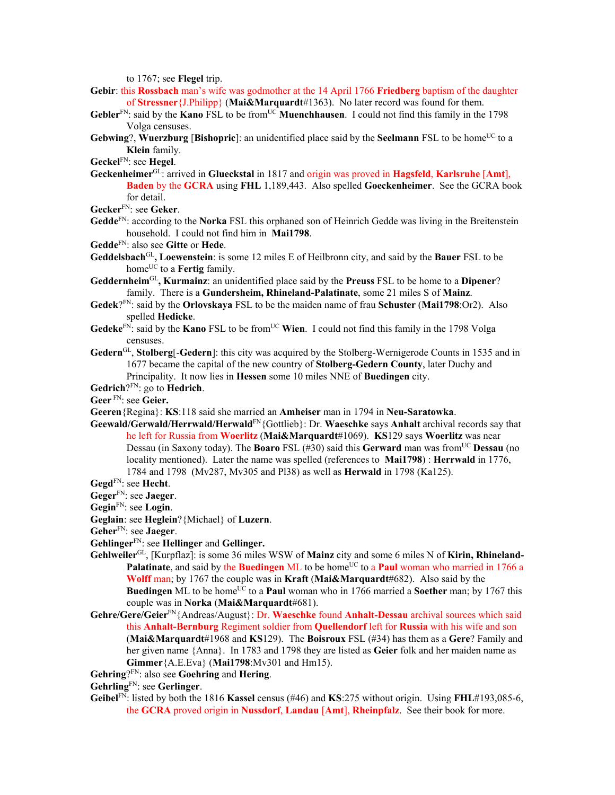to 1767; see **Flegel** trip.

- **Gebir**: this **Rossbach** man's wife was godmother at the 14 April 1766 **Friedberg** baptism of the daughter of **Stressner**{J.Philipp} (**Mai&Marquardt**#1363). No later record was found for them.
- **Gebler**FN: said by the **Kano** FSL to be fromUC **Muenchhausen**. I could not find this family in the 1798 Volga censuses.
- **Gebwing?, Wuerzburg [Bishopric]:** an unidentified place said by the **Seelmann** FSL to be home<sup>UC</sup> to a **Klein** family.

**Geckel**FN: see **Hegel**.

**Geckenheimer**GL: arrived in **Glueckstal** in 1817 and origin was proved in **Hagsfeld**, **Karlsruhe** [**Amt**], **Baden** by the **GCRA** using **FHL** 1,189,443. Also spelled **Goeckenheimer**. See the GCRA book for detail.

**Gecker**FN: see **Geker**.

- **Gedde**FN: according to the **Norka** FSL this orphaned son of Heinrich Gedde was living in the Breitenstein household. I could not find him in **Mai1798**.
- **Gedde**FN: also see **Gitte** or **Hede**.
- **Geddelsbach**GL**, Loewenstein**: is some 12 miles E of Heilbronn city, and said by the **Bauer** FSL to be home<sup>UC</sup> to a **Fertig** family.
- **Geddernheim**GL**, Kurmainz**: an unidentified place said by the **Preuss** FSL to be home to a **Dipener**? family. There is a **Gundersheim, Rhineland-Palatinate**, some 21 miles S of **Mainz**.
- **Gedek**?FN: said by the **Orlovskaya** FSL to be the maiden name of frau **Schuster** (**Mai1798**:Or2). Also spelled **Hedicke**.
- **Gedeke**<sup>FN:</sup> said by the **Kano** FSL to be from<sup>UC</sup> **Wien**. I could not find this family in the 1798 Volga censuses.
- **Gedern**GL, **Stolberg**[-**Gedern**]: this city was acquired by the Stolberg-Wernigerode Counts in 1535 and in 1677 became the capital of the new country of **Stolberg-Gedern County**, later Duchy and Principality. It now lies in **Hessen** some 10 miles NNE of **Buedingen** city.
- **Gedrich**?FN: go to **Hedrich**.
- **Geer** FN: see **Geier.**
- **Geeren**{Regina}: **KS**:118 said she married an **Amheiser** man in 1794 in **Neu-Saratowka**.
- **Geewald/Gerwald/Herrwald/Herwald**FN{Gottlieb}: Dr. **Waeschke** says **Anhalt** archival records say that he left for Russia from **Woerlitz** (**Mai&Marquardt**#1069). **KS**129 says **Woerlitz** was near Dessau (in Saxony today). The **Boaro** FSL (#30) said this **Gerward** man was from<sup>UC</sup> **Dessau** (no locality mentioned). Later the name was spelled (references to **Mai1798**) : **Herrwald** in 1776, 1784 and 1798 (Mv287, Mv305 and Pl38) as well as **Herwald** in 1798 (Ka125).
- **Gegd**FN: see **Hecht**.
- **Geger**FN: see **Jaeger**.
- **Gegin**FN: see **Login**.
- **Geglain**: see **Heglein**?{Michael} of **Luzern**.
- **Geher**FN: see **Jaeger**.
- **Gehlinger**FN: see **Hellinger** and **Gellinger.**
- **Gehlweiler**GL, [Kurpflaz]: is some 36 miles WSW of **Mainz** city and some 6 miles N of **Kirin, Rhineland-Palatinate**, and said by the **Buedingen** ML to be home<sup>UC</sup> to a **Paul** woman who married in 1766 a **Wolff** man; by 1767 the couple was in **Kraft** (**Mai&Marquardt**#682). Also said by the **Buedingen** ML to be home<sup>UC</sup> to a **Paul** woman who in 1766 married a **Soether** man; by 1767 this couple was in **Norka** (**Mai&Marquardt**#681).
- **Gehre/Gere/Geier**FN{Andreas/August}: Dr. **Waeschke** found **Anhalt-Dessau** archival sources which said this **Anhalt-Bernburg** Regiment soldier from **Quellendorf** left for **Russia** with his wife and son (**Mai&Marquardt**#1968 and **KS**129). The **Boisroux** FSL (#34) has them as a **Gere**? Family and her given name {Anna}. In 1783 and 1798 they are listed as **Geier** folk and her maiden name as **Gimmer**{A.E.Eva} (**Mai1798**:Mv301 and Hm15).
- **Gehring**?FN: also see **Goehring** and **Hering**.
- **Gehrling**FN: see **Gerlinger**.
- **Geibel**FN: listed by both the 1816 **Kassel** census (#46) and **KS**:275 without origin. Using **FHL**#193,085-6, the **GCRA** proved origin in **Nussdorf**, **Landau** [**Amt**], **Rheinpfalz**. See their book for more.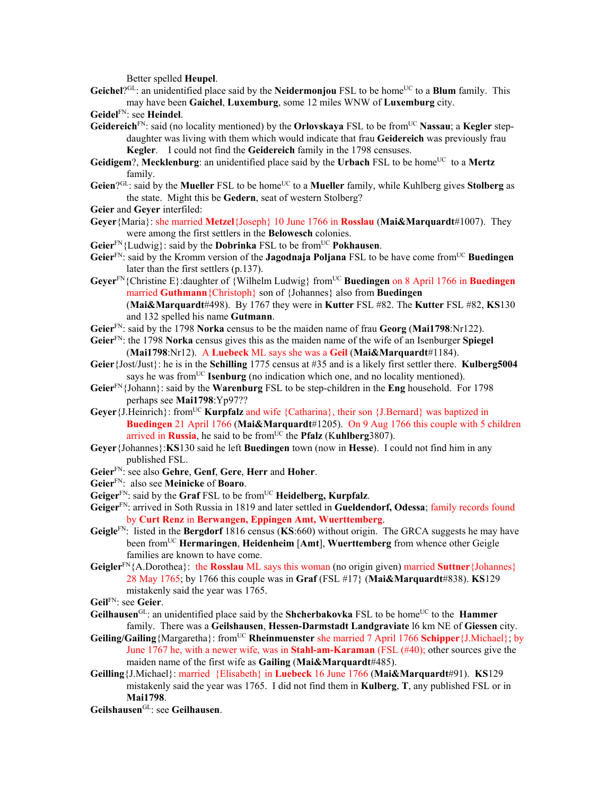Better spelled **Heupel**.

Geichel<sup>?GL</sup>: an unidentified place said by the **Neidermonjou** FSL to be home<sup>UC</sup> to a **Blum** family. This may have been **Gaichel**, **Luxemburg**, some 12 miles WNW of **Luxemburg** city.

**Geidel**FN: see **Heindel**.

- **Geidereich**<sup>FN</sup>: said (no locality mentioned) by the **Orlovskaya** FSL to be from<sup>UC</sup> Nassau; a Kegler stepdaughter was living with them which would indicate that frau **Geidereich** was previously frau **Kegler**. I could not find the **Geidereich** family in the 1798 censuses.
- Geidigem?, Mecklenburg: an unidentified place said by the Urbach FSL to be home<sup>UC</sup> to a Mertz family.
- Geien?<sup>GL</sup>: said by the Mueller FSL to be home<sup>UC</sup> to a Mueller family, while Kuhlberg gives **Stolberg** as the state. Might this be **Gedern**, seat of western Stolberg?
- **Geier** and **Geyer** interfiled:
- **Geyer**{Maria}: she married **Metzel**{Joseph} 10 June 1766 in **Rosslau** (**Mai&Marquardt**#1007). They were among the first settlers in the **Belowesch** colonies.
- **Geier**<sup>FN</sup>{Ludwig}: said by the **Dobrinka** FSL to be from<sup>UC</sup> **Pokhausen**.
- Geier<sup>FN</sup>: said by the Kromm version of the **Jagodnaja Poljana** FSL to be have come from<sup>UC</sup> Buedingen later than the first settlers (p.137).
- Geyer<sup>FN</sup>{Christine E}: daughter of {Wilhelm Ludwig} from<sup>UC</sup> Buedingen on 8 April 1766 in Buedingen married **Guthmann**{Christoph} son of {Johannes} also from **Buedingen** (**Mai&Marquardt**#498). By 1767 they were in **Kutter** FSL #82. The **Kutter** FSL #82, **KS**130
	- and 132 spelled his name **Gutmann**.
- **Geier**FN: said by the 1798 **Norka** census to be the maiden name of frau **Georg** (**Mai1798**:Nr122).
- **Geier**FN: the 1798 **Norka** census gives this as the maiden name of the wife of an Isenburger **Spiegel** (**Mai1798**:Nr12). A **Luebeck** ML says she was a **Geil** (**Mai&Marquardt**#1184).
- **Geier**{Jost/Just}: he is in the **Schilling** 1775 census at #35 and is a likely first settler there. **Kulberg5004** says he was from<sup>UC</sup> **Isenburg** (no indication which one, and no locality mentioned).
- **Geier**FN{Johann}: said by the **Warenburg** FSL to be step-children in the **Eng** household. For 1798 perhaps see **Mai1798**:Yp97??
- Gever {J.Heinrich}: from<sup>UC</sup> **Kurpfalz** and wife {Catharina}, their son {J.Bernard} was baptized in **Buedingen** 21 April 1766 (**Mai&Marquardt**#1205). On 9 Aug 1766 this couple with 5 children arrived in **Russia**, he said to be from<sup>UC</sup> the **Pfalz** (Kuhlberg3807).
- **Geyer**{Johannes}:**KS**130 said he left **Buedingen** town (now in **Hesse**). I could not find him in any published FSL.
- **Geier**FN: see also **Gehre**, **Genf**, **Gere**, **Herr** and **Hoher**.
- **Geier**FN: also see **Meinicke** of **Boaro**.
- **Geiger**FN: said by the **Graf** FSL to be fromUC **Heidelberg, Kurpfalz**.
- **Geiger**FN: arrived in Soth Russia in 1819 and later settled in **Gueldendorf, Odessa**; family records found by **Curt Renz** in **Berwangen, Eppingen Amt, Wuerttemberg**.
- **Geigle**FN: listed in the **Bergdorf** 1816 census (**KS**:660) without origin. The GRCA suggests he may have been fromUC **Hermaringen**, **Heidenheim** [**Amt**], **Wuerttemberg** from whence other Geigle families are known to have come.
- **Geigler**FN{A.Dorothea}: the **Rosslau** ML says this woman (no origin given) married **Suttner**{Johannes} 28 May 1765; by 1766 this couple was in **Graf** (FSL #17} (**Mai&Marquardt**#838). **KS**129 mistakenly said the year was 1765.
- **Geil**FN: see **Geier**.
- Geilhausen<sup>GL</sup>: an unidentified place said by the **Shcherbakovka** FSL to be home<sup>UC</sup> to the **Hammer** family. There was a **Geilshausen**, **Hessen-Darmstadt Landgraviate** l6 km NE of **Giessen** city.
- **Geiling/Gailing**{Margaretha}: fromUC **Rheinmuenster** she married 7 April 1766 **Schipper**{J.Michael}; by June 1767 he, with a newer wife, was in **Stahl-am-Karaman** (FSL (#40); other sources give the maiden name of the first wife as **Gailing** (**Mai&Marquardt**#485).
- **Geilling**{J.Michael}: married {Elisabeth} in **Luebeck** 16 June 1766 (**Mai&Marquardt**#91). **KS**129 mistakenly said the year was 1765. I did not find them in **Kulberg**, **T**, any published FSL or in **Mai1798**.
- **Geilshausen**GL: see **Geilhausen**.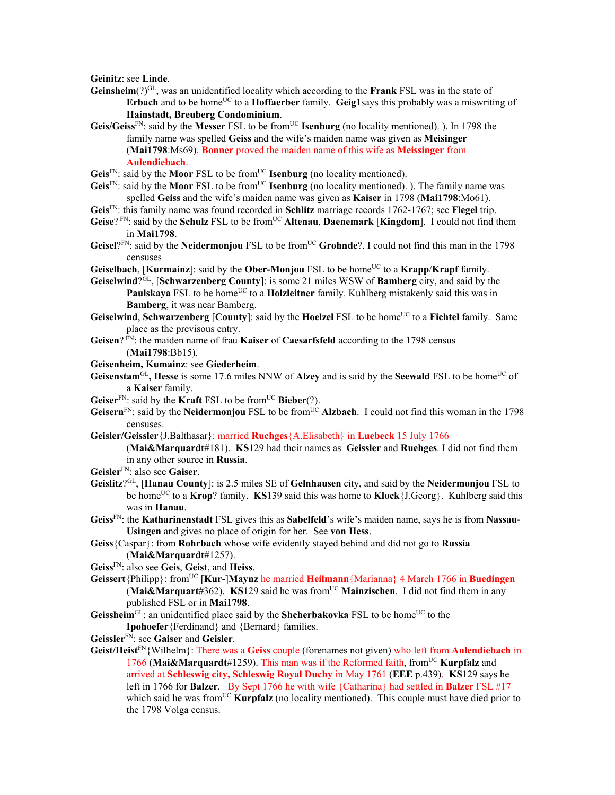**Geinitz**: see **Linde**.

- **Geinsheim**(?)GL, was an unidentified locality which according to the **Frank** FSL was in the state of **Erbach** and to be home<sup>UC</sup> to a **Hoffaerber** family. **Geig1**says this probably was a miswriting of **Hainstadt, Breuberg Condominium**.
- **Geis/Geiss**FN: said by the **Messer** FSL to be fromUC **Isenburg** (no locality mentioned). ). In 1798 the family name was spelled **Geiss** and the wife's maiden name was given as **Meisinger** (**Mai1798**:Ms69). **Bonner** proved the maiden name of this wife as **Meissinger** from **Aulendiebach**.
- Geis<sup>FN</sup>: said by the **Moor** FSL to be from<sup>UC</sup> **Isenburg** (no locality mentioned).
- **Geis**<sup>FN</sup>: said by the **Moor** FSL to be from<sup>UC</sup> **Isenburg** (no locality mentioned). ). The family name was spelled **Geiss** and the wife's maiden name was given as **Kaiser** in 1798 (**Mai1798**:Mo61).
- **Geis**FN: this family name was found recorded in **Schlitz** marriage records 1762-1767; see **Flegel** trip.
- **Geise**? FN: said by the **Schulz** FSL to be from<sup>UC</sup> **Altenau**, **Daenemark** [**Kingdom**]. I could not find them in **Mai1798**.
- Geisel?<sup>FN</sup>: said by the Neidermonjou FSL to be from<sup>UC</sup> Grohnde?. I could not find this man in the 1798 censuses
- **Geiselbach**, [**Kurmainz**]: said by the **Ober-Monjou** FSL to be home<sup>UC</sup> to a **Krapp/Krapf** family.
- **Geiselwind**?GL, [**Schwarzenberg County**]: is some 21 miles WSW of **Bamberg** city, and said by the Paulskaya FSL to be home<sup>UC</sup> to a **Holzleitner** family. Kuhlberg mistakenly said this was in **Bamberg**, it was near Bamberg.
- **Geiselwind**, **Schwarzenberg** [County]: said by the Hoelzel FSL to be home<sup>UC</sup> to a Fichtel family. Same place as the previsous entry.
- **Geisen**? FN: the maiden name of frau **Kaiser** of **Caesarfsfeld** according to the 1798 census (**Mai1798**:Bb15).
- **Geisenheim, Kumainz**: see **Giederheim**.
- Geisenstam<sup>GL</sup>, Hesse is some 17.6 miles NNW of Alzey and is said by the Seewald FSL to be home<sup>UC</sup> of a **Kaiser** family.
- **Geiser**<sup>FN</sup>: said by the **Kraft** FSL to be from<sup>UC</sup> **Bieber**(?).
- **Geisern**<sup>FN</sup>: said by the **Neidermonjou** FSL to be from<sup>UC</sup> **Alzbach**. I could not find this woman in the 1798 censuses.
- **Geisler/Geissler**{J.Balthasar}: married **Ruchges**{A.Elisabeth} in **Luebeck** 15 July 1766 (**Mai&Marquardt**#181). **KS**129 had their names as **Geissler** and **Ruehges**. I did not find them in any other source in **Russia**.
- **Geisler**FN: also see **Gaiser**.
- **Geislitz**?GL, [**Hanau County**]: is 2.5 miles SE of **Gelnhausen** city, and said by the **Neidermonjou** FSL to be homeUC to a **Krop**? family. **KS**139 said this was home to **Klock**{J.Georg}. Kuhlberg said this was in **Hanau**.
- **Geiss**FN: the **Katharinenstadt** FSL gives this as **Sabelfeld**'s wife's maiden name, says he is from **Nassau-Usingen** and gives no place of origin for her. See **von Hess**.
- **Geiss**{Caspar}: from **Rohrbach** whose wife evidently stayed behind and did not go to **Russia** (**Mai&Marquardt**#1257).
- **Geiss**FN: also see **Geis**, **Geist**, and **Heiss**.
- **Geissert**{Philipp}: fromUC [**Kur**-]**Maynz** he married **Heilmann**{Marianna} 4 March 1766 in **Buedingen (Mai&Marquart**#362). **KS**129 said he was from<sup>UC</sup> **Mainzischen**. I did not find them in any published FSL or in **Mai1798**.
- **Geissheim**<sup>GL</sup>: an unidentified place said by the **Shcherbakovka** FSL to be home<sup>UC</sup> to the **Ipohoefer**{Ferdinand} and {Bernard} families.
- **Geissler**FN: see **Gaiser** and **Geisler**.
- **Geist/Heist**FN{Wilhelm}: There was a **Geiss** couple (forenames not given) who left from **Aulendiebach** in 1766 (Mai&Marquardt#1259). This man was if the Reformed faith, from<sup>UC</sup> **Kurpfalz** and arrived at **Schleswig city, Schleswig Royal Duchy** in May 1761 (**EEE** p.439). **KS**129 says he left in 1766 for **Balzer**. By Sept 1766 he with wife {Catharina} had settled in **Balzer** FSL #17 which said he was from<sup>UC</sup> **Kurpfalz** (no locality mentioned). This couple must have died prior to the 1798 Volga census.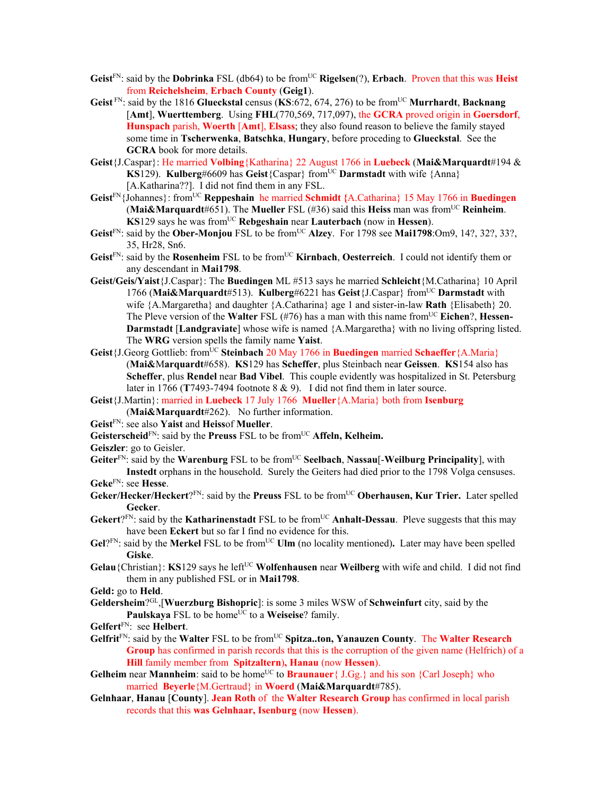- Geist<sup>FN</sup>: said by the **Dobrinka** FSL (db64) to be from<sup>UC</sup> **Rigelsen**(?), **Erbach**. Proven that this was **Heist** from **Reichelsheim**, **Erbach County** (**Geig1**).
- **Geist** FN: said by the 1816 **Glueckstal** census (**KS**:672, 674, 276) to be fromUC **Murrhardt**, **Backnang** [**Amt**], **Wuerttemberg**. Using **FHL**(770,569, 717,097), the **GCRA** proved origin in **Goersdorf**, **Hunspach** parish, **Woerth** [**Amt**], **Elsass**; they also found reason to believe the family stayed some time in **Tscherwenka**, **Batschka**, **Hungary**, before proceding to **Glueckstal**. See the **GCRA** book for more details.
- **Geist**{J.Caspar}: He married **Volbing**{Katharina} 22 August 1766 in **Luebeck** (**Mai&Marquardt**#194 & **KS**129). **Kulberg#6609 has Geist** ${Cospar}$  from<sup>UC</sup> **Darmstadt** with wife  ${Anna}$ [A.Katharina??]. I did not find them in any FSL.
- **Geist**FN{Johannes}: fromUC **Reppeshain** he married **Schmidt {**A.Catharina} 15 May 1766 in **Buedingen (Mai&Marquardt**#651). The **Mueller** FSL (#36) said this **Heiss** man was from<sup>UC</sup> **Reinheim**. **KS**129 says he was from<sup>UC</sup> **Rebgeshain** near **Lauterbach** (now in **Hessen**).
- Geist<sup>FN</sup>: said by the Ober-Monjou FSL to be from<sup>UC</sup> Alzey. For 1798 see Mai1798:Om9, 14?, 32?, 33?, 35, Hr28, Sn6.
- Geist<sup>FN</sup>: said by the Rosenheim FSL to be from<sup>UC</sup> Kirnbach, Oesterreich. I could not identify them or any descendant in **Mai1798**.
- **Geist/Geis/Yaist**{J.Caspar}: The **Buedingen** ML #513 says he married **Schleicht**{M.Catharina} 10 April 1766 (**Mai&Marquardt**#513). **Kulberg**#6221 has **Geist**{J.Caspar} fromUC **Darmstadt** with wife {A.Margaretha} and daughter {A.Catharina} age 1 and sister-in-law **Rath** {Elisabeth} 20. The Pleve version of the **Walter** FSL (#76) has a man with this name from<sup>UC</sup> Eichen?, **Hessen**-**Darmstadt** [**Landgraviate**] whose wife is named {A.Margaretha} with no living offspring listed. The **WRG** version spells the family name **Yaist**.
- **Geist**{J.Georg Gottlieb: from<sup>UC</sup> **Steinbach** 20 May 1766 in **Buedingen** married **Schaeffer**{A.Maria} (**Mai&**M**arquardt**#658). **KS**129 has **Scheffer**, plus Steinbach near **Geissen**. **KS**154 also has **Scheffer**, plus **Rendel** near **Bad Vibel**. This couple evidently was hospitalized in St. Petersburg later in 1766 (**T**7493-7494 footnote 8 & 9). I did not find them in later source.
- **Geist**{J.Martin}: married in **Luebeck** 17 July 1766 **Mueller**{A.Maria} both from **Isenburg**  (**Mai&Marquardt**#262). No further information.
- **Geist**FN: see also **Yaist** and **Heiss**of **Mueller**.
- Geisterscheid<sup>FN</sup>: said by the Preuss FSL to be from<sup>UC</sup> Affeln, Kelheim.

**Geiszler**: go to Geisler.

- **Geiter**FN: said by the **Warenburg** FSL to be fromUC **Seelbach**, **Nassau**[-**Weilburg Principality**], with **Instedt** orphans in the household. Surely the Geiters had died prior to the 1798 Volga censuses.
- **Geke**FN: see **Hesse**.
- **Geker/Hecker/Heckert**?FN: said by the **Preuss** FSL to be fromUC **Oberhausen, Kur Trier.** Later spelled **Gecker**.
- Gekert?<sup>FN</sup>: said by the **Katharinenstadt** FSL to be from<sup>UC</sup> **Anhalt-Dessau**. Pleve suggests that this may have been **Eckert** but so far I find no evidence for this.
- Gel?<sup>FN</sup>: said by the Merkel FSL to be from<sup>UC</sup> Ulm (no locality mentioned). Later may have been spelled **Giske**.
- **Gelau**{Christian}: **KS**129 says he left<sup>UC</sup> **Wolfenhausen** near **Weilberg** with wife and child. I did not find them in any published FSL or in **Mai1798**.
- **Geld:** go to **Held**.
- **Geldersheim**?GL,[**Wuerzburg Bishopric**]: is some 3 miles WSW of **Schweinfurt** city, said by the **Paulskaya** FSL to be home<sup>UC</sup> to a **Weiseise**? family.
- **Gelfert**FN: see **Helbert**.
- Gelfrit<sup>FN</sup>: said by the Walter FSL to be from<sup>UC</sup> Spitza..ton, Yanauzen County. The Walter Research **Group** has confirmed in parish records that this is the corruption of the given name (Helfrich) of a **Hill** family member from **Spitzaltern**)**, Hanau** (now **Hessen**).
- **Gelheim** near **Mannheim**: said to be home<sup>UC</sup> to **Braunauer**{  $J.Gg.$ } and his son {Carl Joseph} who married **Beyerle**{M.Gertraud} in **Woerd** (**Mai&Marquardt**#785).
- **Gelnhaar**, **Hanau** [**County**]. **Jean Roth** of the **Walter Research Group** has confirmed in local parish records that this **was Gelnhaar, Isenburg** (now **Hessen**).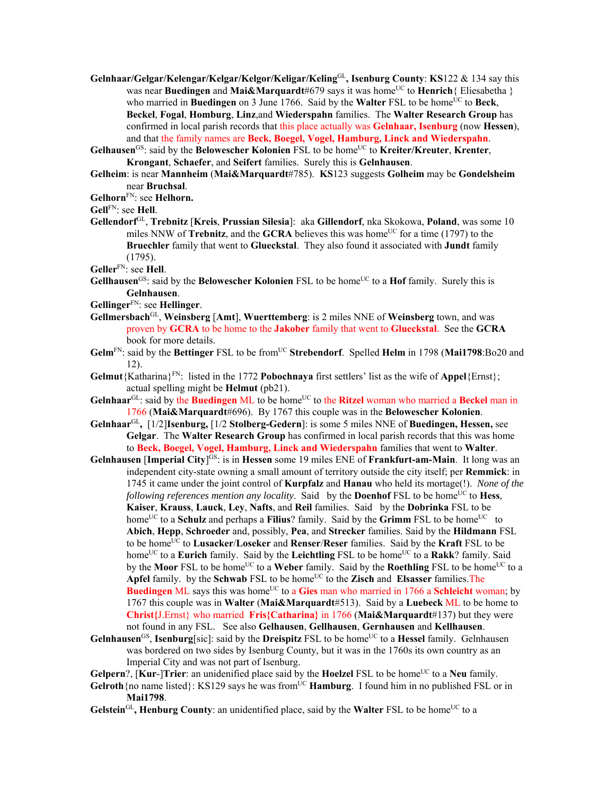- **Gelnhaar/Gelgar/Kelengar/Kelgar/Kelgor/Keligar/Keling**GL**, Isenburg County**: **KS**122 & 134 say this was near **Buedingen** and Mai&Marquardt#679 says it was home<sup>UC</sup> to Henrich { Eliesabetha } who married in **Buedingen** on 3 June 1766. Said by the **Walter** FSL to be home<sup>UC</sup> to **Beck**, **Beckel**, **Fogal**, **Homburg**, **Linz**,and **Wiederspahn** families. The **Walter Research Group** has confirmed in local parish records that this place actually was **Gelnhaar, Isenburg** (now **Hessen**), and that the family names are **Beck, Boegel, Vogel, Hamburg, Linck and Wiederspahn**.
- **Gelhausen**GS: said by the **Belowescher Kolonien** FSL to be homeUC to **Kreiter/Kreuter**, **Krenter**, **Krongant**, **Schaefer**, and **Seifert** families. Surely this is **Gelnhausen**.
- **Gelheim**: is near **Mannheim** (**Mai&Marquardt**#785). **KS**123 suggests **Golheim** may be **Gondelsheim** near **Bruchsal**.
- **Gelhorn**FN: see **Helhorn.**
- **Gell**FN: see **Hell**.
- **Gellendorf**GL, **Trebnitz** [**Kreis**, **Prussian Silesia**]: aka **Gillendorf**, nka Skokowa, **Poland**, was some 10 miles NNW of **Trebnitz**, and the **GCRA** believes this was home<sup>UC</sup> for a time (1797) to the **Bruechler** family that went to **Glueckstal**. They also found it associated with **Jundt** family (1795).

**Geller**FN: see **Hell**.

- **Gellhausen**<sup>GS</sup>: said by the **Belowescher Kolonien** FSL to be home<sup>UC</sup> to a **Hof** family. Surely this is **Gelnhausen**.
- **Gellinger**FN: see **Hellinger**.
- **Gellmersbach**GL, **Weinsberg** [**Amt**], **Wuerttemberg**: is 2 miles NNE of **Weinsberg** town, and was proven by **GCRA** to be home to the **Jakober** family that went to **Glueckstal**. See the **GCRA** book for more details.
- **Gelm**FN: said by the **Bettinger** FSL to be fromUC **Strebendorf**. Spelled **Helm** in 1798 (**Mai1798**:Bo20 and 12).
- **Gelmut**{Katharina}FN: listed in the 1772 **Pobochnaya** first settlers' list as the wife of **Appel**{Ernst}; actual spelling might be **Helmut** (pb21).
- **Gelnhaar**<sup>GL</sup>: said by the **Buedingen** ML to be home<sup>UC</sup> to the **Ritzel** woman who married a **Beckel** man in 1766 (**Mai&Marquardt**#696). By 1767 this couple was in the **Belowescher Kolonien**.
- **Gelnhaar**GL**,** [1/2]**Isenburg,** [1/2 **Stolberg-Gedern**]: is some 5 miles NNE of **Buedingen, Hessen,** see **Gelgar**. The **Walter Research Group** has confirmed in local parish records that this was home to **Beck, Boegel, Vogel, Hamburg, Linck and Wiederspahn** families that went to **Walter**.
- **Gelnhausen [Imperial City**]<sup>GS</sup>: is in Hessen some 19 miles ENE of **Frankfurt-am-Main**. It long was an independent city-state owning a small amount of territory outside the city itself; per **Remmick**: in 1745 it came under the joint control of **Kurpfalz** and **Hanau** who held its mortage(!). *None of the following references mention any locality.* Said by the **Doenhof** FSL to be home<sup>UC</sup> to **Hess**, **Kaiser**, **Krauss**, **Lauck**, **Ley**, **Nafts**, and **Reil** families. Said by the **Dobrinka** FSL to be home<sup>UC</sup> to a **Schulz** and perhaps a **Filius**? family. Said by the **Grimm** FSL to be home<sup>UC</sup> to **Abich**, **Hepp**, **Schroeder** and, possibly, **Pea**, and **Strecker** families. Said by the **Hildmann** FSL to be homeUC to **Lusacker**/**Loseker** and **Renser**/**Reser** families. Said by the **Kraft** FSL to be home<sup>UC</sup> to a **Eurich** family. Said by the **Leichtling** FSL to be home<sup>UC</sup> to a **Rakk**? family. Said by the **Moor** FSL to be home<sup>UC</sup> to a **Weber** family. Said by the **Roethling** FSL to be home<sup>UC</sup> to a Apfel family. by the Schwab FSL to be home<sup>UC</sup> to the **Zisch** and **Elsasser** families. The **Buedingen** ML says this was home<sup>UC</sup> to a **Gies** man who married in 1766 a **Schleicht** woman; by 1767 this couple was in **Walter** (**Mai&Marquardt**#513). Said by a **Luebeck** ML to be home to **Christ{**J.Ernst} who married **Fris{Catharina}** in 1766 (**Mai&Marquardt**#137) but they were not found in any FSL. See also **Gelhausen**, **Gellhausen**, **Gernhausen** and **Kellhausen**.
- Gelnhausen<sup>GS</sup>, **Isenburg**[sic]: said by the **Dreispitz** FSL to be home<sup>UC</sup> to a **Hessel** family. Gelnhausen was bordered on two sides by Isenburg County, but it was in the 1760s its own country as an Imperial City and was not part of Isenburg.
- **Gelpern**?, [Kur-]Trier: an unidenified place said by the Hoelzel FSL to be home<sup>UC</sup> to a Neu family.
- **Gelroth** {no name listed}: KS129 says he was from<sup>UC</sup> **Hamburg**. I found him in no published FSL or in **Mai1798**.
- **Gelstein**<sup>GL</sup>, **Henburg County**: an unidentified place, said by the **Walter** FSL to be home<sup>UC</sup> to a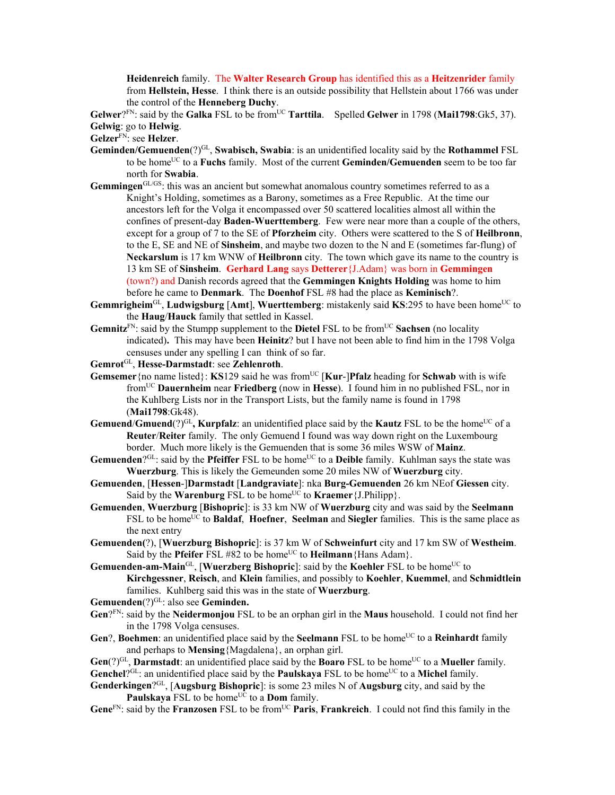**Heidenreich** family. The **Walter Research Group** has identified this as a **Heitzenrider** family from **Hellstein, Hesse**. I think there is an outside possibility that Hellstein about 1766 was under the control of the **Henneberg Duchy**.

**Gelwer**?FN: said by the **Galka** FSL to be fromUC **Tarttila**. Spelled **Gelwer** in 1798 (**Mai1798**:Gk5, 37). **Gelwig**: go to **Helwig**.

**Gelzer**FN: see **Helzer**.

- **Geminden/Gemuenden**(?)<sup>GL</sup>, **Swabisch, Swabia**: is an unidentified locality said by the **Rothammel** FSL to be homeUC to a **Fuchs** family. Most of the current **Geminden/Gemuenden** seem to be too far north for **Swabia**.
- **Gemmingen**GL/GS: this was an ancient but somewhat anomalous country sometimes referred to as a Knight's Holding, sometimes as a Barony, sometimes as a Free Republic. At the time our ancestors left for the Volga it encompassed over 50 scattered localities almost all within the confines of present-day **Baden-Wuerttemberg**. Few were near more than a couple of the others, except for a group of 7 to the SE of **Pforzheim** city. Others were scattered to the S of **Heilbronn**, to the E, SE and NE of **Sinsheim**, and maybe two dozen to the N and E (sometimes far-flung) of **Neckarslum** is 17 km WNW of **Heilbronn** city. The town which gave its name to the country is 13 km SE of **Sinsheim**. **Gerhard Lang** says **Detterer**{J.Adam} was born in **Gemmingen** (town?) and Danish records agreed that the **Gemmingen Knights Holding** was home to him before he came to **Denmark**. The **Doenhof** FSL #8 had the place as **Keminisch**?.
- **Gemmrigheim**<sup>GL</sup>, **Ludwigsburg** [Amt], **Wuerttemberg**: mistakenly said **KS**:295 to have been home<sup>UC</sup> to the **Haug**/**Hauck** family that settled in Kassel.
- Gemnitz<sup>FN</sup>: said by the Stumpp supplement to the **Dietel** FSL to be from<sup>UC</sup> Sachsen (no locality indicated)**.** This may have been **Heinitz**? but I have not been able to find him in the 1798 Volga censuses under any spelling I can think of so far.
- **Gemrot**GL, **Hesse-Darmstadt**: see **Zehlenroth**.
- **Gemsemer** {no name listed}: **KS**129 said he was from<sup>UC</sup> [**Kur-]Pfalz** heading for **Schwab** with is wife fromUC **Dauernheim** near **Friedberg** (now in **Hesse**). I found him in no published FSL, nor in the Kuhlberg Lists nor in the Transport Lists, but the family name is found in 1798 (**Mai1798**:Gk48).
- **Gemuend/Gmuend** $(?)^{GL}$ , **Kurpfalz**: an unidentified place said by the **Kautz** FSL to be the home<sup>UC</sup> of a **Reuter**/**Reiter** family. The only Gemuend I found was way down right on the Luxembourg border. Much more likely is the Gemuenden that is some 36 miles WSW of **Mainz**.
- Gemuenden?<sup>GL</sup>: said by the **Pfeiffer** FSL to be home<sup>UC</sup> to a **Deible** family. Kuhlman says the state was **Wuerzburg**. This is likely the Gemeunden some 20 miles NW of **Wuerzburg** city.
- **Gemuenden**, [**Hessen**-]**Darmstadt** [**Landgraviate**]: nka **Burg-Gemuenden** 26 km NEof **Giessen** city. Said by the **Warenburg** FSL to be home<sup>UC</sup> to **Kraemer** {J.Philipp}.
- **Gemuenden**, **Wuerzburg** [**Bishopric**]: is 33 km NW of **Wuerzburg** city and was said by the **Seelmann** FSL to be home<sup>UC</sup> to **Baldaf**, **Hoefner**, **Seelman** and **Siegler** families. This is the same place as the next entry
- **Gemuenden(**?), [**Wuerzburg Bishopric**]: is 37 km W of **Schweinfurt** city and 17 km SW of **Westheim**. Said by the **Pfeifer** FSL #82 to be home<sup>UC</sup> to **Heilmann** {Hans Adam}.
- **Gemuenden-am-Main**<sup>GL</sup>, [Wuerzberg Bishopric]: said by the Koehler FSL to be home<sup>UC</sup> to **Kirchgessner**, **Reisch**, and **Klein** families, and possibly to **Koehler**, **Kuemmel**, and **Schmidtlein** families. Kuhlberg said this was in the state of **Wuerzburg**.

Gemuenden<sup>(?)GL</sup>: also see **Geminden.** 

- **Gen**?FN: said by the **Neidermonjou** FSL to be an orphan girl in the **Maus** household. I could not find her in the 1798 Volga censuses.
- **Gen**?, **Boehmen**: an unidentified place said by the **Seelmann** FSL to be home<sup>UC</sup> to a **Reinhardt** family and perhaps to **Mensing**{Magdalena}, an orphan girl.
- Gen(?)<sup>GL</sup>, **Darmstadt**: an unidentified place said by the **Boaro** FSL to be home<sup>UC</sup> to a **Mueller** family. Genchel<sup>?GL</sup>: an unidentified place said by the **Paulskaya** FSL to be home<sup>UC</sup> to a **Michel** family.
- **Genderkingen**?GL, [**Augsburg Bishopric**]: is some 23 miles N of **Augsburg** city, and said by the **Paulskaya** FSL to be home<sup>UC</sup> to a **Dom** family.

**Gene**<sup>FN</sup>: said by the **Franzosen** FSL to be from<sup>UC</sup> **Paris**, **Frankreich**. I could not find this family in the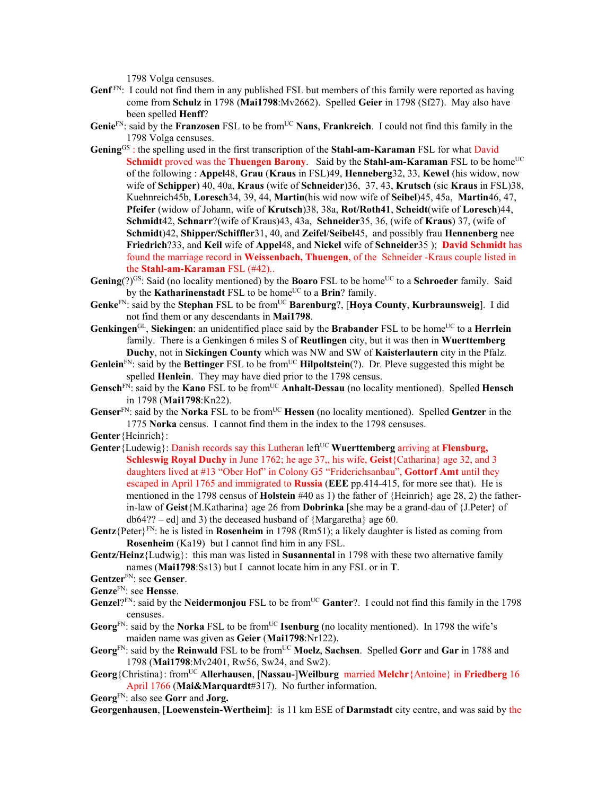1798 Volga censuses.

- **Genf** FN: I could not find them in any published FSL but members of this family were reported as having come from **Schulz** in 1798 (**Mai1798**:Mv2662). Spelled **Geier** in 1798 (Sf27). May also have been spelled **Henff**?
- Genie<sup>FN</sup>: said by the **Franzosen** FSL to be from<sup>UC</sup> Nans, **Frankreich**. I could not find this family in the 1798 Volga censuses.
- **Gening**GS : the spelling used in the first transcription of the **Stahl-am-Karaman** FSL for what David **Schmidt** proved was the **Thuengen Barony**. Said by the **Stahl-am-Karaman** FSL to be home<sup>UC</sup> of the following : **Appel**48, **Grau** (**Kraus** in FSL)49, **Henneberg**32, 33, **Kewel** (his widow, now wife of **Schipper**) 40, 40a, **Kraus** (wife of **Schneider**)36, 37, 43, **Krutsch** (sic **Kraus** in FSL)38, Kuehnreich45b, **Loresch**34, 39, 44, **Martin**(his wid now wife of **Seibel**)45, 45a, **Martin**46, 47, **Pfeifer** (widow of Johann, wife of **Krutsch**)38, 38a, **Rot/Roth41**, **Scheidt**(wife of **Loresch**)44, **Schmidt**42, **Schnarr**?(wife of Kraus)43, 43a, **Schneider**35, 36, (wife of **Kraus**) 37, (wife of **Schmidt**)42, **Shipper/Schiffler**31, 40, and **Zeifel**/**Seibel**45, and possibly frau **Hennenberg** nee **Friedrich**?33, and **Keil** wife of **Appel**48, and **Nickel** wife of **Schneider**35 ); **David Schmidt** has found the marriage record in **Weissenbach, Thuengen**, of the Schneider -Kraus couple listed in the **Stahl-am-Karaman** FSL (#42)..
- Gening(?)<sup>GS</sup>: Said (no locality mentioned) by the **Boaro** FSL to be home<sup>UC</sup> to a **Schroeder** family. Said by the **Katharinenstadt** FSL to be home<sup>UC</sup> to a **Brin**? family.
- **Genke**FN: said by the **Stephan** FSL to be fromUC **Barenburg**?, [**Hoya County**, **Kurbraunsweig**]. I did not find them or any descendants in **Mai1798**.
- Genkingen<sup>GL</sup>, Siekingen: an unidentified place said by the Brabander FSL to be home<sup>UC</sup> to a Herrlein family. There is a Genkingen 6 miles S of **Reutlingen** city, but it was then in **Wuerttemberg Duchy**, not in **Sickingen County** which was NW and SW of **Kaisterlautern** city in the Pfalz.
- Genlein<sup>FN</sup>: said by the Bettinger FSL to be from<sup>UC</sup> Hilpoltstein(?). Dr. Pleve suggested this might be spelled **Henlein**. They may have died prior to the 1798 census.
- **Gensch**FN: said by the **Kano** FSL to be fromUC **Anhalt-Dessau** (no locality mentioned). Spelled **Hensch** in 1798 (**Mai1798**:Kn22).
- **Genser**<sup>FN</sup>: said by the **Norka** FSL to be from<sup>UC</sup> **Hessen** (no locality mentioned). Spelled **Gentzer** in the 1775 **Norka** census. I cannot find them in the index to the 1798 censuses.

**Genter**{Heinrich}:

- Genter {Ludewig}: Danish records say this Lutheran left<sup>UC</sup> Wuerttemberg arriving at **Flensburg**, **Schleswig Royal Duchy** in June 1762; he age 37,, his wife, **Geist**{Catharina} age 32, and 3 daughters lived at #13 "Ober Hof" in Colony G5 "Friderichsanbau", **Gottorf Amt** until they escaped in April 1765 and immigrated to **Russia** (**EEE** pp.414-415, for more see that). He is mentioned in the 1798 census of **Holstein** #40 as 1) the father of {Heinrich} age 28, 2) the fatherin-law of **Geist**{M.Katharina} age 26 from **Dobrinka** [she may be a grand-dau of {J.Peter} of db64?? – ed] and 3) the deceased husband of {Margaretha} age 60.
- **Gentz**{Peter}FN: he is listed in **Rosenheim** in 1798 (Rm51); a likely daughter is listed as coming from **Rosenheim** (Ka19) but I cannot find him in any FSL.
- **Gentz/Heinz**{Ludwig}: this man was listed in **Susannental** in 1798 with these two alternative family names (**Mai1798**:Ss13) but I cannot locate him in any FSL or in **T**.
- **Gentzer**FN: see **Genser**.
- **Genze**FN: see **Hensse**.
- **Genzel**?<sup>FN</sup>: said by the **Neidermonjou** FSL to be from<sup>UC</sup> Ganter?. I could not find this family in the 1798 censuses.
- Georg<sup>FN</sup>: said by the **Norka** FSL to be from<sup>UC</sup> **Isenburg** (no locality mentioned). In 1798 the wife's maiden name was given as **Geier** (**Mai1798**:Nr122).
- **Georg**FN: said by the **Reinwald** FSL to be fromUC **Moelz**, **Sachsen**. Spelled **Gorr** and **Gar** in 1788 and 1798 (**Mai1798**:Mv2401, Rw56, Sw24, and Sw2).
- **Georg**{Christina}: fromUC **Allerhausen**, [**Nassau-**]**Weilburg** married **Melchr**{Antoine} in **Friedberg** 16 April 1766 (**Mai&Marquardt**#317). No further information.
- **Georg**FN: also see **Gorr** and **Jorg.**

**Georgenhausen**, [**Loewenstein-Wertheim**]: is 11 km ESE of **Darmstadt** city centre, and was said by the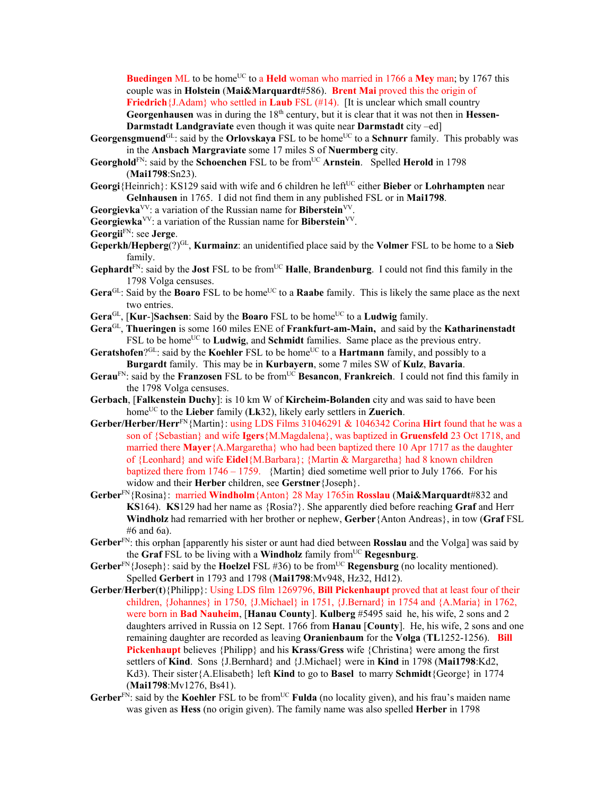**Buedingen** ML to be home<sup>UC</sup> to a **Held** woman who married in 1766 a Mey man; by 1767 this couple was in **Holstein** (**Mai&Marquardt**#586). **Brent Mai** proved this the origin of **Friedrich** {J.Adam} who settled in **Laub** FSL (#14). [It is unclear which small country **Georgenhausen** was in during the 18<sup>th</sup> century, but it is clear that it was not then in **Hessen**-**Darmstadt Landgraviate** even though it was quite near **Darmstadt** city –ed]

- **Georgensgmuend**<sup>GL</sup>: said by the **Orlovskaya** FSL to be home<sup>UC</sup> to a **Schnurr** family. This probably was in the **Ansbach Margraviate** some 17 miles S of **Nuermberg** city.
- Georghold<sup>FN</sup>: said by the Schoenchen FSL to be from<sup>UC</sup> Arnstein. Spelled Herold in 1798 (**Mai1798**:Sn23).
- **Georgi**{Heinrich}: KS129 said with wife and 6 children he left<sup>UC</sup> either **Bieber** or **Lohrhampten** near **Gelnhausen** in 1765. I did not find them in any published FSL or in **Mai1798**.
- Georgievka<sup>VV</sup>: a variation of the Russian name for Biberstein<sup>VV</sup>.
- **Georgiewka**<sup>VV</sup>: a variation of the Russian name for **Biberstein**<sup>VV</sup>.

**Georgii**FN: see **Jerge**.

- **Geperkh/Hepberg**(?)GL, **Kurmainz**: an unidentified place said by the **Volmer** FSL to be home to a **Sieb**  family.
- Gephardt<sup>FN</sup>: said by the **Jost** FSL to be from<sup>UC</sup> **Halle**, **Brandenburg**. I could not find this family in the 1798 Volga censuses.
- Gera<sup>GL</sup>: Said by the **Boaro** FSL to be home<sup>UC</sup> to a **Raabe** family. This is likely the same place as the next two entries.
- **Gera**<sup>GL</sup>, [**Kur-]Sachsen**: Said by the **Boaro** FSL to be home<sup>UC</sup> to a **Ludwig** family.
- **Gera**GL, **Thueringen** is some 160 miles ENE of **Frankfurt-am-Main,** and said by the **Katharinenstadt** FSL to be home<sup>UC</sup> to **Ludwig**, and **Schmidt** families. Same place as the previous entry.
- **Geratshofen**?GL: said by the **Koehler** FSL to be homeUC to a **Hartmann** family, and possibly to a **Burgardt** family. This may be in **Kurbayern**, some 7 miles SW of **Kulz**, **Bavaria**.
- Gerau<sup>FN</sup>: said by the **Franzosen** FSL to be from<sup>UC</sup> **Besancon**, **Frankreich**. I could not find this family in the 1798 Volga censuses.
- **Gerbach**, [**Falkenstein Duchy**]: is 10 km W of **Kircheim-Bolanden** city and was said to have been homeUC to the **Lieber** family (**Lk**32), likely early settlers in **Zuerich**.
- Gerber/Herber/Herr<sup>FN</sup>{Martin}: using LDS Films 31046291 & 1046342 Corina Hirt found that he was a son of {Sebastian} and wife **Igers**{M.Magdalena}, was baptized in **Gruensfeld** 23 Oct 1718, and married there **Mayer**{A.Margaretha} who had been baptized there 10 Apr 1717 as the daughter of {Leonhard} and wife **Eidel**{M.Barbara}; {Martin & Margaretha} had 8 known children baptized there from 1746 – 1759. {Martin} died sometime well prior to July 1766. For his widow and their **Herber** children, see **Gerstner**{Joseph}.
- **Gerber**FN{Rosina}: married **Windholm**{Anton} 28 May 1765in **Rosslau** (**Mai&Marquardt**#832 and **KS**164). **KS**129 had her name as {Rosia?}. She apparently died before reaching **Graf** and Herr **Windholz** had remarried with her brother or nephew, **Gerber**{Anton Andreas}, in tow (**Graf** FSL #6 and 6a).
- **Gerber**FN: this orphan [apparently his sister or aunt had died between **Rosslau** and the Volga] was said by the **Graf** FSL to be living with a **Windholz** family fromUC **Regesnburg**.
- **Gerber**<sup>FN</sup>{Joseph}: said by the **Hoelzel** FSL #36) to be from<sup>UC</sup> **Regensburg** (no locality mentioned). Spelled **Gerbert** in 1793 and 1798 (**Mai1798**:Mv948, Hz32, Hd12).
- **Gerber**/**Herber**(**t**){Philipp}: Using LDS film 1269796, **Bill Pickenhaupt** proved that at least four of their children, {Johannes} in 1750, {J.Michael} in 1751, {J.Bernard} in 1754 and {A.Maria} in 1762, were born in **Bad Nauheim**, [**Hanau County**]. **Kulberg** #5495 said he, his wife, 2 sons and 2 daughters arrived in Russia on 12 Sept. 1766 from **Hanau** [**County**]. He, his wife, 2 sons and one remaining daughter are recorded as leaving **Oranienbaum** for the **Volga** (**TL**1252-1256). **Bill Pickenhaupt** believes {Philipp} and his **Krass**/**Gress** wife {Christina} were among the first settlers of **Kind**. Sons {J.Bernhard} and {J.Michael} were in **Kind** in 1798 (**Mai1798**:Kd2, Kd3). Their sister{A.Elisabeth} left **Kind** to go to **Basel** to marry **Schmidt**{George} in 1774 (**Mai1798**:Mv1276, Bs41).
- **Gerber**<sup>FN</sup>: said by the **Koehler** FSL to be from<sup>UC</sup> **Fulda** (no locality given), and his frau's maiden name was given as **Hess** (no origin given). The family name was also spelled **Herber** in 1798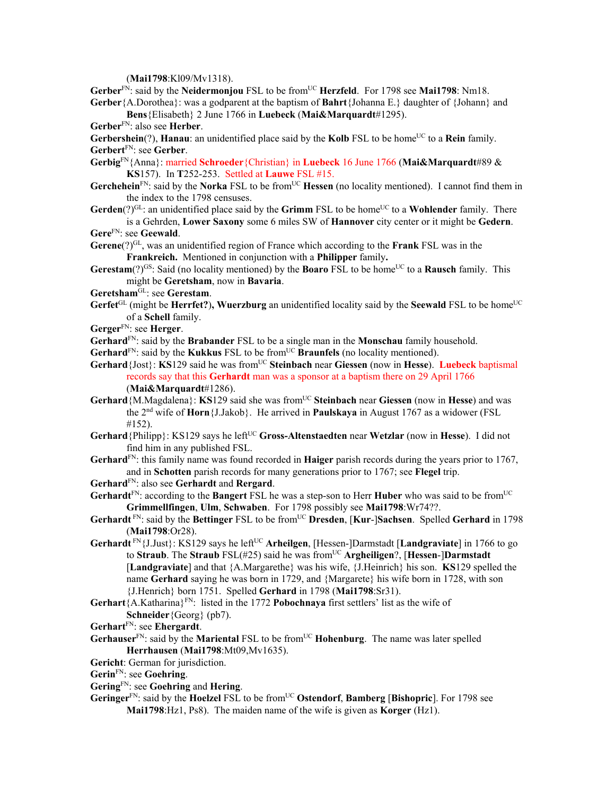(**Mai1798**:Kl09/Mv1318).

Gerber<sup>FN</sup>: said by the Neidermonjou FSL to be from<sup>UC</sup> Herzfeld. For 1798 see Mai1798: Nm18. **Gerber**{A.Dorothea}: was a godparent at the baptism of **Bahrt**{Johanna E.} daughter of {Johann} and

**Bens**{Elisabeth} 2 June 1766 in **Luebeck** (**Mai&Marquardt**#1295).

**Gerber**FN: also see **Herber**.

**Gerbershein**(?), **Hanau**: an unidentified place said by the **Kolb** FSL to be home<sup>UC</sup> to a **Rein** family. **Gerbert**FN: see **Gerber**.

**Gerbig**FN{Anna}: married **Schroeder**{Christian} in **Luebeck** 16 June 1766 (**Mai&Marquardt**#89 & **KS**157). In **T**252-253. Settled at **Lauwe** FSL #15.

- Gerchehein<sup>FN</sup>: said by the **Norka** FSL to be from<sup>UC</sup> **Hessen** (no locality mentioned). I cannot find them in the index to the 1798 censuses.
- **Gerden**(?)<sup>GL</sup>: an unidentified place said by the **Grimm** FSL to be home<sup>UC</sup> to a **Wohlender** family. There is a Gehrden, **Lower Saxony** some 6 miles SW of **Hannover** city center or it might be **Gedern**.
- **Gere**FN: see **Geewald**.

**Gerene**(?)GL, was an unidentified region of France which according to the **Frank** FSL was in the **Frankreich.** Mentioned in conjunction with a **Philipper** family**.** 

**Gerestam**(?)<sup>GS</sup>: Said (no locality mentioned) by the **Boaro** FSL to be home<sup>UC</sup> to a **Rausch** family. This might be **Geretsham**, now in **Bavaria**.

- **Geretsham**GL: see **Gerestam**.
- **Gerfet**<sup>GL</sup> (might be **Herrfet?), Wuerzburg** an unidentified locality said by the **Seewald** FSL to be home<sup>UC</sup> of a **Schell** family.
- **Gerger**FN: see **Herger**.

**Gerhard**FN: said by the **Brabander** FSL to be a single man in the **Monschau** family household.

- Gerhard<sup>FN</sup>: said by the **Kukkus** FSL to be from<sup>UC</sup> **Braunfels** (no locality mentioned).
- **Gerhard** {Jost}: **KS**129 said he was from<sup>UC</sup> Steinbach near Giessen (now in Hesse). Luebeck baptismal records say that this **Gerhardt** man was a sponsor at a baptism there on 29 April 1766 (**Mai&Marquardt**#1286).
- **Gerhard**{M.Magdalena}: **KS**129 said she was from<sup>UC</sup> Steinbach near Giessen (now in Hesse) and was the 2nd wife of **Horn**{J.Jakob}. He arrived in **Paulskaya** in August 1767 as a widower (FSL #152).
- **Gerhard** {Philipp}: KS129 says he left<sup>UC</sup> Gross-Altenstaedten near Wetzlar (now in Hesse). I did not find him in any published FSL.

**Gerhard**FN: this family name was found recorded in **Haiger** parish records during the years prior to 1767, and in **Schotten** parish records for many generations prior to 1767; see **Flegel** trip.

**Gerhard**FN: also see **Gerhardt** and **Rergard**.

**Gerhardt**FN: according to the **Bangert** FSL he was a step-son to Herr **Huber** who was said to be fromUC **Grimmellfingen**, **Ulm**, **Schwaben**. For 1798 possibly see **Mai1798**:Wr74??.

- **Gerhardt** FN: said by the **Bettinger** FSL to be fromUC **Dresden**, [**Kur**-]**Sachsen**. Spelled **Gerhard** in 1798 (**Mai1798**:Or28).
- **Gerhardt**<sup>FN</sup>{J.Just}: KS129 says he left<sup>UC</sup> **Arheilgen**, [Hessen-]Darmstadt [Landgraviate] in 1766 to go to **Straub**. The **Straub** FSL(#25) said he was from<sup>UC</sup> Argheiligen?, [Hessen-]Darmstadt [**Landgraviate**] and that {A.Margarethe} was his wife, {J.Heinrich} his son. **KS**129 spelled the name **Gerhard** saying he was born in 1729, and {Margarete} his wife born in 1728, with son {J.Henrich} born 1751. Spelled **Gerhard** in 1798 (**Mai1798**:Sr31).
- **Gerhart**{A.Katharina}FN: listed in the 1772 **Pobochnaya** first settlers' list as the wife of **Schneider**{Georg} (pb7).
- **Gerhart**FN: see **Ehergardt**.
- Gerhauser<sup>FN</sup>: said by the Mariental FSL to be from<sup>UC</sup> Hohenburg. The name was later spelled **Herrhausen** (**Mai1798**:Mt09,Mv1635).
- **Gericht**: German for jurisdiction.
- **Gerin**FN: see **Goehring**.
- **Gering**FN: see **Goehring** and **Hering**.
- **Geringer**FN: said by the **Hoelzel** FSL to be fromUC **Ostendorf**, **Bamberg** [**Bishopric**]. For 1798 see **Mai1798**:Hz1, Ps8). The maiden name of the wife is given as **Korger** (Hz1).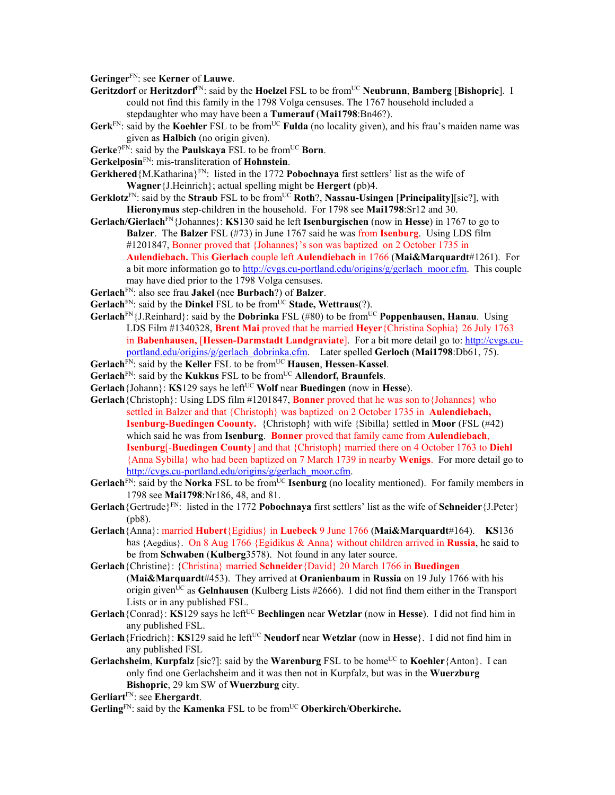**Geringer**FN: see **Kerner** of **Lauwe**.

- **Geritzdorf** or **Heritzdorf**<sup>FN</sup>: said by the **Hoelzel** FSL to be from<sup>UC</sup> **Neubrunn**, **Bamberg** [Bishopric]. I could not find this family in the 1798 Volga censuses. The 1767 household included a stepdaughter who may have been a **Tumerauf** (**Mai1798**:Bn46?).
- Gerk<sup>FN</sup>: said by the Koehler FSL to be from<sup>UC</sup> Fulda (no locality given), and his frau's maiden name was given as **Halbich** (no origin given).
- **Gerke**?FN: said by the **Paulskaya** FSL to be fromUC **Born**.
- **Gerkelposin**FN: mis-transliteration of **Hohnstein**.
- **Gerkhered**{M.Katharina}FN: listed in the 1772 **Pobochnaya** first settlers' list as the wife of **Wagner**{J.Heinrich}; actual spelling might be **Hergert** (pb)4.
- **Gerklotz**FN: said by the **Straub** FSL to be fromUC **Roth**?, **Nassau-Usingen** [**Principality**][sic?], with **Hieronymus** step-children in the household. For 1798 see **Mai1798**:Sr12 and 30.
- **Gerlach/Gierlach**FN{Johannes}: **KS**130 said he left **Isenburgischen** (now in **Hesse**) in 1767 to go to **Balzer**. The **Balzer** FSL (#73) in June 1767 said he was from **Isenburg**. Using LDS film #1201847, Bonner proved that {Johannes}'s son was baptized on 2 October 1735 in **Aulendiebach.** This **Gierlach** couple left **Aulendiebach** in 1766 (**Mai&Marquardt**#1261). For a bit more information go to http://cvgs.cu-portland.edu/origins/g/gerlach\_moor.cfm. This couple may have died prior to the 1798 Volga censuses.
- **Gerlach**FN: also see frau **Jakel** (nee **Burbach**?) of **Balzer**.
- **Gerlach**<sup>FN</sup>: said by the **Dinkel** FSL to be from<sup>UC</sup> **Stade, Wettraus**(?).
- **Gerlach**FN{J.Reinhard}: said by the **Dobrinka** FSL (#80) to be fromUC **Poppenhausen, Hanau**. Using LDS Film #1340328, **Brent Mai** proved that he married **Heyer**{Christina Sophia} 26 July 1763 in **Babenhausen,** [**Hessen-Darmstadt Landgraviate**]. For a bit more detail go to: http://cvgs.cuportland.edu/origins/g/gerlach\_dobrinka.cfm. Later spelled **Gerloch** (**Mai1798**:Db61, 75).
- **Gerlach**FN: said by the **Keller** FSL to be fromUC **Hausen**, **Hessen**-**Kassel**.
- Gerlach<sup>FN</sup>: said by the **Kukkus** FSL to be from<sup>UC</sup> Allendorf, Braunfels.
- **Gerlach**{Johann}: **KS**129 says he left<sup>UC</sup> **Wolf** near **Buedingen** (now in **Hesse**).
- **Gerlach**{Christoph}: Using LDS film #1201847, **Bonner** proved that he was son to{Johannes} who settled in Balzer and that {Christoph} was baptized on 2 October 1735 in **Aulendiebach, Isenburg-Buedingen Coounty.** {Christoph} with wife {Sibilla} settled in **Moor** (FSL (#42) which said he was from **Isenburg**. **Bonner** proved that family came from **Aulendiebach**, **Isenburg**[-**Buedingen County**] and that {Christoph} married there on 4 October 1763 to **Diehl** {Anna Sybilla} who had been baptized on 7 March 1739 in nearby **Wenigs**. For more detail go to http://cvgs.cu-portland.edu/origins/g/gerlach\_moor.cfm.
- **Gerlach**<sup>FN</sup>: said by the **Norka** FSL to be from<sup>UC</sup> **Isenburg** (no locality mentioned). For family members in 1798 see **Mai1798**:Nr186, 48, and 81.
- **Gerlach**{Gertrude}FN: listed in the 1772 **Pobochnaya** first settlers' list as the wife of **Schneider**{J.Peter} (pb8).
- **Gerlach**{Anna}: married **Hubert**{Egidius} in **Luebeck** 9 June 1766 (**Mai&Marquardt**#164). **KS**136 has {Aegdius}. On 8 Aug 1766 {Egidikus & Anna} without children arrived in **Russia**, he said to be from **Schwaben** (**Kulberg**3578). Not found in any later source.
- **Gerlach**{Christine}: {Christina} married **Schneider**{David} 20 March 1766 in **Buedingen** (**Mai&Marquardt**#453). They arrived at **Oranienbaum** in **Russia** on 19 July 1766 with his origin givenUC as **Gelnhausen** (Kulberg Lists #2666). I did not find them either in the Transport Lists or in any published FSL.
- **Gerlach**{Conrad}: **KS**129 says he left<sup>UC</sup> **Bechlingen** near **Wetzlar** (now in **Hesse**). I did not find him in any published FSL.
- **Gerlach**{Friedrich}: **KS**129 said he left<sup>UC</sup> **Neudorf** near **Wetzlar** (now in **Hesse**}. I did not find him in any published FSL
- **Gerlachsheim, Kurpfalz** [sic?]: said by the **Warenburg** FSL to be home<sup>UC</sup> to **Koehler**{Anton}. I can only find one Gerlachsheim and it was then not in Kurpfalz, but was in the **Wuerzburg Bishopric**, 29 km SW of **Wuerzburg** city.

**Gerliart**FN: see **Ehergardt**.

**Gerling**FN: said by the **Kamenka** FSL to be fromUC **Oberkirch**/**Oberkirche.**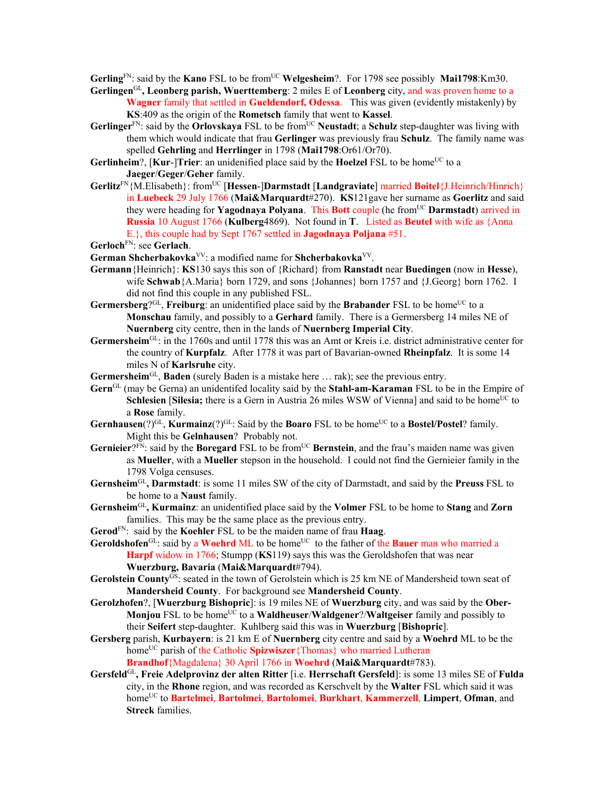**Gerling**<sup>FN</sup>: said by the **Kano** FSL to be from<sup>UC</sup> **Welgesheim**?. For 1798 see possibly **Mai1798**:Km30.

- **Gerlingen**GL**, Leonberg parish, Wuerttemberg**: 2 miles E of **Leonberg** city, and was proven home to a **Wagner** family that settled in **Gueldendorf, Odessa**. This was given (evidently mistakenly) by **KS**:409 as the origin of the **Rometsch** family that went to **Kassel**.
- Gerlinger<sup>FN</sup>: said by the **Orlovskaya** FSL to be from<sup>UC</sup> **Neustadt**; a **Schulz** step-daughter was living with them which would indicate that frau **Gerlinger** was previously frau **Schulz**. The family name was spelled **Gehrling** and **Herrlinger** in 1798 (**Mai1798**:Or61/Or70).
- **Gerlinheim**?, [Kur-]Trier: an unidenified place said by the Hoelzel FSL to be home<sup>UC</sup> to a **Jaeger**/**Geger**/**Geher** family.
- **Gerlitz**FN{M.Elisabeth}: fromUC [**Hessen**-]**Darmstadt** [**Landgraviate**] married **Boitel**{J.Heinrich/Hinrich} in **Luebeck** 29 July 1766 (**Mai&Marquardt**#270). **KS**121gave her surname as **Goerlitz** and said they were heading for **Yagodnaya Polyana**. This **Bott** couple (he fromUC **Darmstadt**) arrived in **Russia** 10 August 1766 (**Kulberg**4869). Not found in **T**. Listed as **Beutel** with wife as {Anna E.}, this couple had by Sept 1767 settled in **Jagodnaya Poljana** #51.

```
GerlochFN: see Gerlach.
```
- **German Shcherbakovka**VV: a modified name for **Shcherbakovka**VV.
- **Germann**{Heinrich}: **KS**130 says this son of {Richard} from **Ranstadt** near **Buedingen** (now in **Hesse**), wife **Schwab**{A.Maria} born 1729, and sons {Johannes} born 1757 and {J.Georg} born 1762. I did not find this couple in any published FSL.
- **Germersberg**?<sup>GL</sup>, **Freiburg**: an unidentified place said by the **Brabander** FSL to be home<sup>UC</sup> to a **Monschau** family, and possibly to a **Gerhard** family. There is a Germersberg 14 miles NE of **Nuernberg** city centre, then in the lands of **Nuernberg Imperial City**.
- **Germersheim**GL: in the 1760s and until 1778 this was an Amt or Kreis i.e. district administrative center for the country of **Kurpfalz**. After 1778 it was part of Bavarian-owned **Rheinpfalz**. It is some 14 miles N of **Karlsruhe** city.
- **Germersheim**GL, **Baden** (surely Baden is a mistake here … rak); see the previous entry.
- **Gern**GL (may be Gerna) an unidentifed locality said by the **Stahl-am-Karaman** FSL to be in the Empire of **Schlesien** [Silesia; there is a Gern in Austria 26 miles WSW of Vienna] and said to be home<sup>UC</sup> to a **Rose** family.
- Gernhausen(?)<sup>GL</sup>, **Kurmainz**(?)<sup>GL</sup>: Said by the **Boaro** FSL to be home<sup>UC</sup> to a **Bostel/Postel**? family. Might this be **Gelnhausen**? Probably not.
- Gernieier?<sup>FN</sup>: said by the **Boregard** FSL to be from<sup>UC</sup> Bernstein, and the frau's maiden name was given as **Mueller**, with a **Mueller** stepson in the household. I could not find the Gernieier family in the 1798 Volga censuses.
- **Gernsheim**GL**, Darmstadt**: is some 11 miles SW of the city of Darmstadt, and said by the **Preuss** FSL to be home to a **Naust** family.
- **Gernsheim**GL**, Kurmainz**: an unidentified place said by the **Volmer** FSL to be home to **Stang** and **Zorn** families. This may be the same place as the previous entry.
- **Gerod**FN: said by the **Koehler** FSL to be the maiden name of frau **Haag**.
- **Geroldshofen**<sup>GL:</sup> said by a **Woehrd** ML to be home<sup>UC</sup> to the father of the **Bauer** man who married a **Harpf** widow in 1766; Stumpp (**KS**119) says this was the Geroldshofen that was near **Wuerzburg, Bavaria** (**Mai&Marquardt**#794).
- Gerolstein County<sup>GS</sup>: seated in the town of Gerolstein which is 25 km NE of Mandersheid town seat of **Mandersheid County**. For background see **Mandersheid County**.
- **Gerolzhofen**?, [**Wuerzburg Bishopric**]: is 19 miles NE of **Wuerzburg** city, and was said by the **Ober-Monjou** FSL to be home<sup>UC</sup> to a **Waldheuser/Waldgener?/Waltgeiser** family and possibly to their **Seifert** step-daughter. Kuhlberg said this was in **Wuerzburg** [**Bishopric**].
- **Gersberg** parish, **Kurbayern**: is 21 km E of **Nuernberg** city centre and said by a **Woehrd** ML to be the home<sup>UC</sup> parish of the Catholic **Spizwiszer** {Thomas} who married Lutheran **Brandhof**{Magdalena} 30 April 1766 in **Woehrd** (**Mai&Marquardt**#783).
- **Gersfeld**GL**, Freie Adelprovinz der alten Ritter** [i.e. **Herrschaft Gersfeld**]: is some 13 miles SE of **Fulda** city, in the **Rhone** region, and was recorded as Kerschvelt by the **Walter** FSL which said it was homeUC to **Bartelmei**, **Bartolmei**, **Bartolomei**, **Burkhart**, **Kammerzell**, **Limpert**, **Ofman**, and **Streck** families.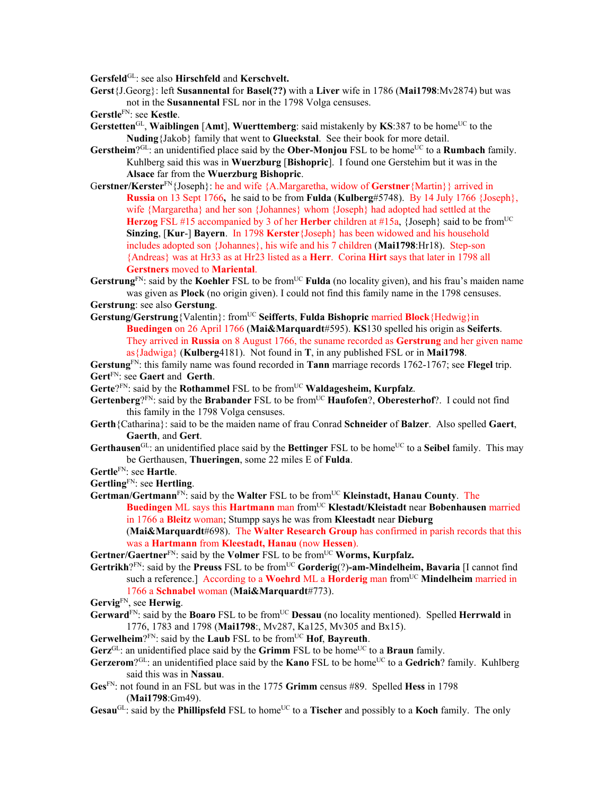**Gersfeld**GL: see also **Hirschfeld** and **Kerschvelt.**

- **Gerst**{J.Georg}: left **Susannental** for **Basel(??)** with a **Liver** wife in 1786 (**Mai1798**:Mv2874) but was not in the **Susannental** FSL nor in the 1798 Volga censuses.
- **Gerstle**FN: see **Kestle**.
- **Gerstetten**<sup>GL</sup>, **Waiblingen** [Amt], **Wuerttemberg**: said mistakenly by **KS**:387 to be home<sup>UC</sup> to the **Nuding**{Jakob} family that went to **Glueckstal**. See their book for more detail.
- Gerstheim<sup>?GL</sup>: an unidentified place said by the **Ober-Monjou** FSL to be home<sup>UC</sup> to a **Rumbach** family. Kuhlberg said this was in **Wuerzburg** [**Bishopric**]. I found one Gerstehim but it was in the **Alsace** far from the **Wuerzburg Bishopric**.
- G**erstner/Kerster**FN{Joseph}: he and wife {A.Margaretha, widow of **Gerstner**{Martin}} arrived in **Russia** on 13 Sept 1766**,** he said to be from **Fulda** (**Kulberg**#5748). By 14 July 1766 {Joseph}, wife {Margaretha} and her son {Johannes} whom {Joseph} had adopted had settled at the Herzog FSL #15 accompanied by 3 of her Herber children at #15a, {Joseph} said to be from<sup>UC</sup> **Sinzing**, [**Kur**-] **Bayern**. In 1798 **Kerster**{Joseph} has been widowed and his household includes adopted son {Johannes}, his wife and his 7 children (**Mai1798**:Hr18). Step-son {Andreas} was at Hr33 as at Hr23 listed as a **Herr**. Corina **Hirt** says that later in 1798 all **Gerstners** moved to **Mariental**.
- Gerstrung<sup>FN</sup>: said by the Koehler FSL to be from<sup>UC</sup> Fulda (no locality given), and his frau's maiden name was given as **Plock** (no origin given). I could not find this family name in the 1798 censuses. **Gerstrung**: see also **Gerstung**.
- **Gerstung/Gerstrung**{Valentin}: fromUC **Seifferts**, **Fulda Bishopric** married **Block**{Hedwig}in **Buedingen** on 26 April 1766 (**Mai&Marquardt**#595). **KS**130 spelled his origin as **Seiferts**. They arrived in **Russia** on 8 August 1766, the suname recorded as **Gerstrung** and her given name as{Jadwiga} (**Kulberg**4181). Not found in **T**, in any published FSL or in **Mai1798**.

**Gerstung**FN: this family name was found recorded in **Tann** marriage records 1762-1767; see **Flegel** trip. **Gert**FN: see **Gaert** and **Gerth**.

- Gerte?<sup>FN</sup>: said by the **Rothammel** FSL to be from<sup>UC</sup> **Waldagesheim, Kurpfalz.**
- **Gertenberg**?FN: said by the **Brabander** FSL to be fromUC **Haufofen**?, **Oberesterhof**?. I could not find this family in the 1798 Volga censuses.
- **Gerth**{Catharina}: said to be the maiden name of frau Conrad **Schneider** of **Balzer**. Also spelled **Gaert**, **Gaerth**, and **Gert**.
- **Gerthausen**<sup>GL</sup>: an unidentified place said by the **Bettinger** FSL to be home<sup>UC</sup> to a **Seibel** family. This may be Gerthausen, **Thueringen**, some 22 miles E of **Fulda**.
- **Gertle**FN: see **Hartle**.
- **Gertling**FN: see **Hertling**.
- Gertman/Gertmann<sup>FN</sup>: said by the Walter FSL to be from<sup>UC</sup> Kleinstadt, Hanau County. The **Buedingen** ML says this **Hartmann** man fromUC **Klestadt/Kleistadt** near **Bobenhausen** married in 1766 a **Bleitz** woman; Stumpp says he was from **Kleestadt** near **Dieburg** (**Mai&Marquardt**#698). The **Walter Research Group** has confirmed in parish records that this was a **Hartmann** from **Kleestadt, Hanau** (now **Hessen**).
- Gertner/Gaertner<sup>FN</sup>: said by the **Volmer** FSL to be from<sup>UC</sup> **Worms, Kurpfalz.**
- Gertrikh?FN: said by the Preuss FSL to be from<sup>UC</sup> Gorderig(?)-am-Mindelheim, Bavaria [I cannot find such a reference.] According to a **Woehrd** ML a **Horderig** man from<sup>UC</sup> **Mindelheim** married in 1766 a **Schnabel** woman (**Mai&Marquardt**#773).
- **Gervig**FN, see **Herwig**.
- Gerward<sup>FN</sup>: said by the **Boaro** FSL to be from<sup>UC</sup> **Dessau** (no locality mentioned). Spelled **Herrwald** in 1776, 1783 and 1798 (**Mai1798**:, Mv287, Ka125, Mv305 and Bx15).

**Gerwelheim**? $F_N$ : said by the **Laub** FSL to be from  $U^C$  **Hof**, **Bayreuth**.

- **Gerz**<sup>GL</sup>: an unidentified place said by the **Grimm** FSL to be home<sup>UC</sup> to a **Braun** family.
- Gerzerom?<sup>GL</sup>: an unidentified place said by the **Kano** FSL to be home<sup>UC</sup> to a Gedrich? family. Kuhlberg said this was in **Nassau**.
- **Ges**FN: not found in an FSL but was in the 1775 **Grimm** census #89. Spelled **Hess** in 1798 (**Mai1798**:Gm49).
- Gesau<sup>GL</sup>: said by the **Phillipsfeld** FSL to home<sup>UC</sup> to a **Tischer** and possibly to a **Koch** family. The only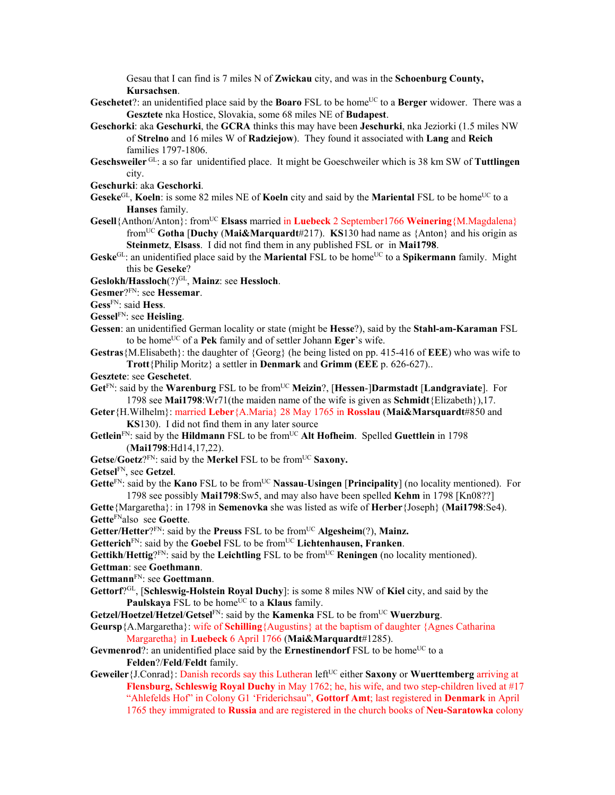Gesau that I can find is 7 miles N of **Zwickau** city, and was in the **Schoenburg County, Kursachsen**.

- **Geschetet**?: an unidentified place said by the **Boaro** FSL to be home<sup>UC</sup> to a **Berger** widower. There was a **Gesztete** nka Hostice, Slovakia, some 68 miles NE of **Budapest**.
- **Geschorki**: aka **Geschurki**, the **GCRA** thinks this may have been **Jeschurki**, nka Jeziorki (1.5 miles NW of **Strelno** and 16 miles W of **Radziejow**). They found it associated with **Lang** and **Reich** families 1797-1806.
- **Geschsweiler** GL: a so far unidentified place. It might be Goeschweiler which is 38 km SW of **Tuttlingen** city.
- **Geschurki**: aka **Geschorki**.
- **Geseke**<sup>GL</sup>, **Koeln**: is some 82 miles NE of **Koeln** city and said by the **Mariental** FSL to be home<sup>UC</sup> to a **Hanses** family.
- **Gesell**{Anthon/Anton}: fromUC **Elsass** married in **Luebeck** 2 September1766 **Weinering**{M.Magdalena} fromUC **Gotha** [**Duchy** (**Mai&Marquardt**#217). **KS**130 had name as {Anton} and his origin as **Steinmetz**, **Elsass**. I did not find them in any published FSL or in **Mai1798**.
- Geske<sup>GL</sup>: an unidentified place said by the **Mariental** FSL to be home<sup>UC</sup> to a **Spikermann** family. Might this be **Geseke**?

**Geslokh/Hassloch**(?)GL, **Mainz**: see **Hessloch**.

**Gesmer**?FN: see **Hessemar**.

**Gess**FN: said **Hess**.

**Gessel**FN: see **Heisling**.

- **Gessen**: an unidentified German locality or state (might be **Hesse**?), said by the **Stahl-am-Karaman** FSL to be homeUC of a **Pek** family and of settler Johann **Eger**'s wife.
- **Gestras**{M.Elisabeth}: the daughter of {Georg} (he being listed on pp. 415-416 of **EEE**) who was wife to **Trott**{Philip Moritz} a settler in **Denmark** and **Grimm (EEE** p. 626-627)..
- **Gesztete**: see **Geschetet**.
- **Get**FN: said by the **Warenburg** FSL to be fromUC **Meizin**?, [**Hessen**-]**Darmstadt** [**Landgraviate**]. For 1798 see **Mai1798**:Wr71(the maiden name of the wife is given as **Schmidt**{Elizabeth}),17.
- **Geter**{H.Wilhelm}: married **Leber**{A.Maria} 28 May 1765 in **Rosslau** (**Mai&Marsquardt**#850 and **KS**130). I did not find them in any later source
- **Getlein**FN: said by the **Hildmann** FSL to be fromUC **Alt Hofheim**. Spelled **Guettlein** in 1798 (**Mai1798**:Hd14,17,22).
- Getse/Goetz?<sup>FN</sup>: said by the Merkel FSL to be from<sup>UC</sup> Saxony.
- **Getsel**FN, see **Getzel**.
- **Gette**<sup>FN</sup>: said by the **Kano** FSL to be from<sup>UC</sup> **Nassau-Usingen** [**Principality**] (no locality mentioned). For 1798 see possibly **Mai1798**:Sw5, and may also have been spelled **Kehm** in 1798 [Kn08??]
- **Gette**{Margaretha}: in 1798 in **Semenovka** she was listed as wife of **Herber**{Joseph} (**Mai1798**:Se4). **Gette**FNalso see **Goette**.
- **Getter/Hetter**?FN: said by the **Preuss** FSL to be fromUC **Algesheim**(?), **Mainz.**
- Getterich<sup>FN</sup>: said by the Goebel FSL to be from<sup>UC</sup> Lichtenhausen, Franken.

**Gettikh**/**Hettig**?FN: said by the **Leichtling** FSL to be fromUC **Reningen** (no locality mentioned).

**Gettman**: see **Goethmann**.

- **Gettmann**FN: see **Goettmann**.
- **Gettorf**?GL, [**Schleswig-Holstein Royal Duchy**]: is some 8 miles NW of **Kiel** city, and said by the **Paulskaya** FSL to be home<sup>UC</sup> to a **Klaus** family.
- Getzel/Hoetzel/Hetzel/Getsel<sup>FN</sup>: said by the **Kamenka** FSL to be from<sup>UC</sup> Wuerzburg.
- **Geursp**{A.Margaretha}: wife of **Schilling**{Augustins} at the baptism of daughter {Agnes Catharina Margaretha} in **Luebeck** 6 April 1766 (**Mai&Marquardt**#1285).
- **Gevmenrod**?: an unidentified place said by the **Ernestinendorf** FSL to be home<sup>UC</sup> to a **Felden**?/**Feld**/**Feldt** family.
- **Geweiler** {J.Conrad}: Danish records say this Lutheran left<sup>UC</sup> either **Saxony** or **Wuerttemberg** arriving at **Flensburg, Schleswig Royal Duchy** in May 1762; he, his wife, and two step-children lived at #17 "Ahlefelds Hof" in Colony G1 'Friderichsau", **Gottorf Amt**; last registered in **Denmark** in April 1765 they immigrated to **Russia** and are registered in the church books of **Neu-Saratowka** colony